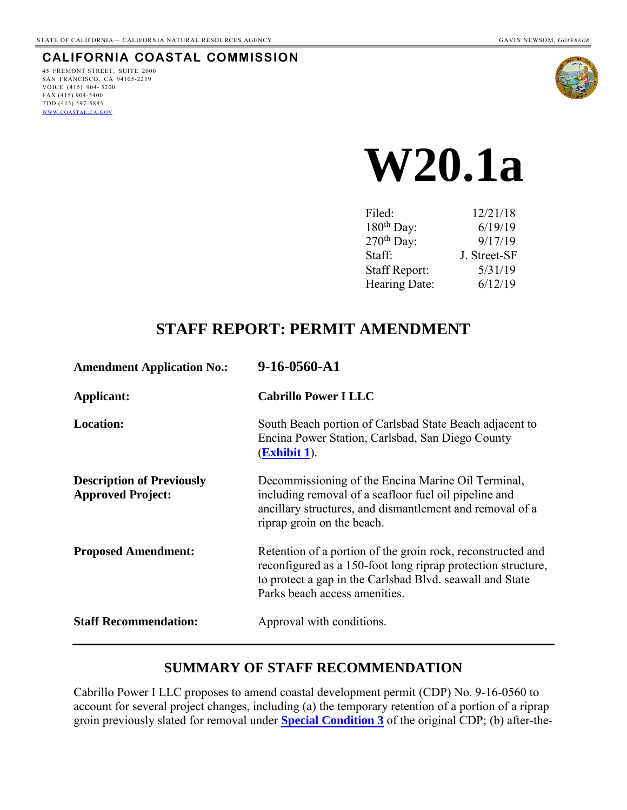#### **CALIFORNIA COASTAL COMMISSION**

45 FREMONT STREET, SUITE 2000 SAN FRANCISCO, CA 94105-2219 VOICE (415) 904- 5200 FAX (415) 904-5400 TDD (415) 597-5885 WWW.[COASTAL](http://www.coastal.ca.gov/).CA.GOV



# **W20.1a**

| Filed:                 | 12/21/18     |
|------------------------|--------------|
| 180 <sup>th</sup> Day: | 6/19/19      |
| 270 <sup>th</sup> Day: | 9/17/19      |
| Staff:                 | J. Street-SF |
| <b>Staff Report:</b>   | 5/31/19      |
| Hearing Date:          | 6/12/19      |

## **STAFF REPORT: PERMIT AMENDMENT**

| <b>Amendment Application No.:</b>                            | 9-16-0560-A1                                                                                                                                                                                                             |
|--------------------------------------------------------------|--------------------------------------------------------------------------------------------------------------------------------------------------------------------------------------------------------------------------|
| Applicant:                                                   | <b>Cabrillo Power I LLC</b>                                                                                                                                                                                              |
| <b>Location:</b>                                             | South Beach portion of Carlsbad State Beach adjacent to<br>Encina Power Station, Carlsbad, San Diego County<br>$(Exhibit 1)$ .                                                                                           |
| <b>Description of Previously</b><br><b>Approved Project:</b> | Decommissioning of the Encina Marine Oil Terminal,<br>including removal of a seafloor fuel oil pipeline and<br>ancillary structures, and dismantlement and removal of a<br>riprap groin on the beach.                    |
| <b>Proposed Amendment:</b>                                   | Retention of a portion of the groin rock, reconstructed and<br>reconfigured as a 150-foot long riprap protection structure,<br>to protect a gap in the Carlsbad Blvd. seawall and State<br>Parks beach access amenities. |
| <b>Staff Recommendation:</b>                                 | Approval with conditions.                                                                                                                                                                                                |

## **SUMMARY OF STAFF RECOMMENDATION**

Cabrillo Power I LLC proposes to amend coastal development permit (CDP) No. 9-16-0560 to account for several project changes, including (a) the temporary retention of a portion of a riprap groin previously slated for removal under **[Special Condition 3](#page-27-0)** of the original CDP; (b) after-the-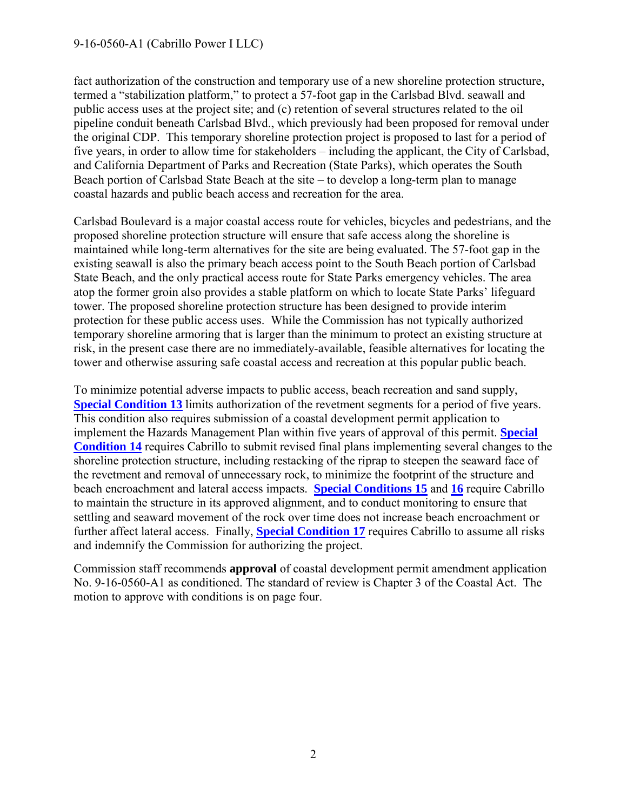#### 9-16-0560-A1 (Cabrillo Power I LLC)

fact authorization of the construction and temporary use of a new shoreline protection structure, termed a "stabilization platform," to protect a 57-foot gap in the Carlsbad Blvd. seawall and public access uses at the project site; and (c) retention of several structures related to the oil pipeline conduit beneath Carlsbad Blvd., which previously had been proposed for removal under the original CDP. This temporary shoreline protection project is proposed to last for a period of five years, in order to allow time for stakeholders – including the applicant, the City of Carlsbad, and California Department of Parks and Recreation (State Parks), which operates the South Beach portion of Carlsbad State Beach at the site – to develop a long-term plan to manage coastal hazards and public beach access and recreation for the area.

Carlsbad Boulevard is a major coastal access route for vehicles, bicycles and pedestrians, and the proposed shoreline protection structure will ensure that safe access along the shoreline is maintained while long-term alternatives for the site are being evaluated. The 57-foot gap in the existing seawall is also the primary beach access point to the South Beach portion of Carlsbad State Beach, and the only practical access route for State Parks emergency vehicles. The area atop the former groin also provides a stable platform on which to locate State Parks' lifeguard tower. The proposed shoreline protection structure has been designed to provide interim protection for these public access uses. While the Commission has not typically authorized temporary shoreline armoring that is larger than the minimum to protect an existing structure at risk, in the present case there are no immediately-available, feasible alternatives for locating the tower and otherwise assuring safe coastal access and recreation at this popular public beach.

To minimize potential adverse impacts to public access, beach recreation and sand supply, **[Special Condition 13](#page-3-0)** limits authorization of the revetment segments for a period of five years. This condition also requires submission of a coastal development permit application to implement the Hazards Management Plan within five years of approval of this permit. **[Special](#page-5-0)  [Condition](#page-5-0) 14** requires Cabrillo to submit revised final plans implementing several changes to the shoreline protection structure, including restacking of the riprap to steepen the seaward face of the revetment and removal of unnecessary rock, to minimize the footprint of the structure and beach encroachment and lateral access impacts. **[Special Conditions 15](#page-6-0)** and **[16](#page-7-0)** require Cabrillo to maintain the structure in its approved alignment, and to conduct monitoring to ensure that settling and seaward movement of the rock over time does not increase beach encroachment or further affect lateral access. Finally, **[Special Condition 17](#page-7-1)** requires Cabrillo to assume all risks and indemnify the Commission for authorizing the project.

Commission staff recommends **approval** of coastal development permit amendment application No. 9-16-0560-A1 as conditioned. The standard of review is Chapter 3 of the Coastal Act. The motion to approve with conditions is on page four.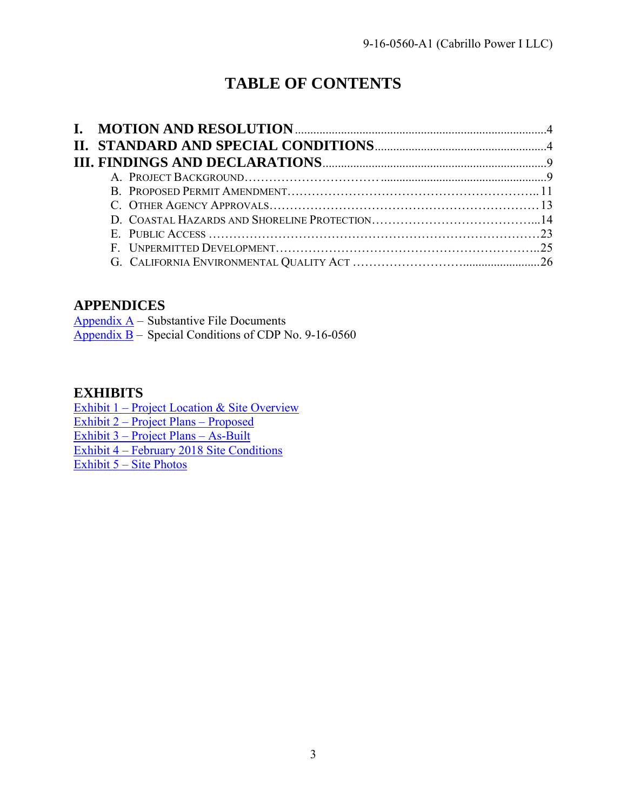## **TABLE OF CONTENTS**

## **APPENDICES**

Appendix  $A$  – Substantive File Documents  $\frac{\text{Appendix } B}{\text{Special Conditions of CDP No. } 9-16-0560}$ 

#### **EXHIBITS**

Exhibit 1 – [Project Location & Site Overview](https://documents.coastal.ca.gov/reports/2019/6/w20.1a/w20.1a-6-2019-exhibits.pdf) Exhibit 2 – [Project Plans –](https://documents.coastal.ca.gov/reports/2019/6/w20.1a/w20.1a-6-2019-exhibits.pdf) Proposed Exhibit 3 – [Project Plans –](https://documents.coastal.ca.gov/reports/2019/6/w20.1a/w20.1a-6-2019-exhibits.pdf) As-Built

Exhibit 4 – [February 2018 Site Conditions](https://documents.coastal.ca.gov/reports/2019/6/w20.1a/w20.1a-6-2019-exhibits.pdf)

Exhibit 5 – [Site Photos](https://documents.coastal.ca.gov/reports/2019/6/w20.1a/w20.1a-6-2019-exhibits.pdf)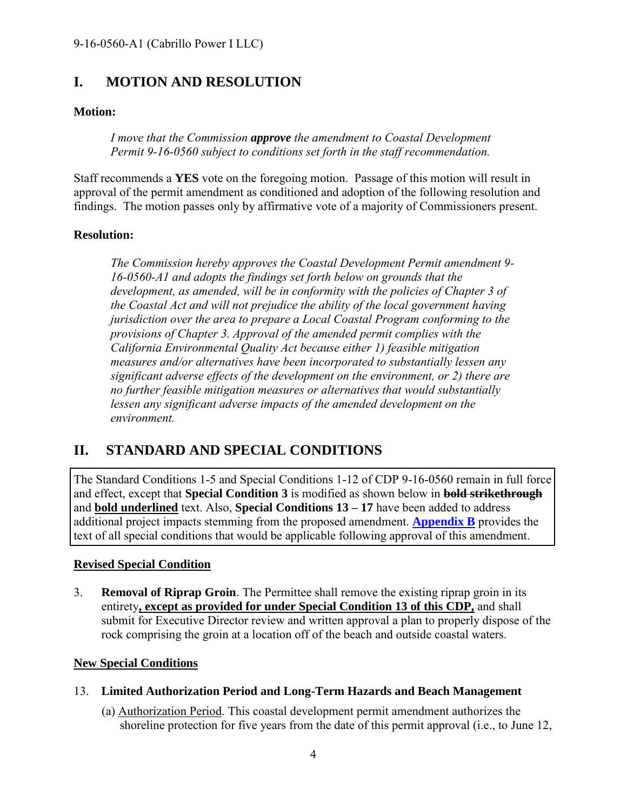## <span id="page-3-1"></span>**I. MOTION AND RESOLUTION**

#### **Motion:**

*I move that the Commission approve the amendment to Coastal Development Permit 9-16-0560 subject to conditions set forth in the staff recommendation.*

Staff recommends a **YES** vote on the foregoing motion. Passage of this motion will result in approval of the permit amendment as conditioned and adoption of the following resolution and findings. The motion passes only by affirmative vote of a majority of Commissioners present.

#### **Resolution:**

*The Commission hereby approves the Coastal Development Permit amendment 9- 16-0560-A1 and adopts the findings set forth below on grounds that the*  development, as amended, will be in conformity with the policies of Chapter 3 of *the Coastal Act and will not prejudice the ability of the local government having jurisdiction over the area to prepare a Local Coastal Program conforming to the provisions of Chapter 3. Approval of the amended permit complies with the California Environmental Quality Act because either 1) feasible mitigation measures and/or alternatives have been incorporated to substantially lessen any significant adverse effects of the development on the environment, or 2) there are no further feasible mitigation measures or alternatives that would substantially*  lessen any significant adverse impacts of the amended development on the *environment.*

## <span id="page-3-2"></span>**II. STANDARD AND SPECIAL CONDITIONS**

The Standard Conditions 1-5 and Special Conditions 1-12 of CDP 9-16-0560 remain in full force and effect, except that **Special Condition 3** is modified as shown below in **bold strikethrough** and **bold underlined** text. Also, **Special Conditions 13 – 17** have been added to address additional project impacts stemming from the proposed amendment. **[Appendix](#page-27-0) B** provides the text of all special conditions that would be applicable following approval of this amendment.

#### **Revised Special Condition**

<span id="page-3-3"></span>3. **Removal of Riprap Groin**. The Permittee shall remove the existing riprap groin in its entirety**, except as provided for under Special Condition 13 of this CDP,** and shall submit for Executive Director review and written approval a plan to properly dispose of the rock comprising the groin at a location off of the beach and outside coastal waters.

#### **New Special Conditions**

- <span id="page-3-0"></span>13. **Limited Authorization Period and Long-Term Hazards and Beach Management** 
	- (a) Authorization Period. This coastal development permit amendment authorizes the shoreline protection for five years from the date of this permit approval (i.e., to June 12,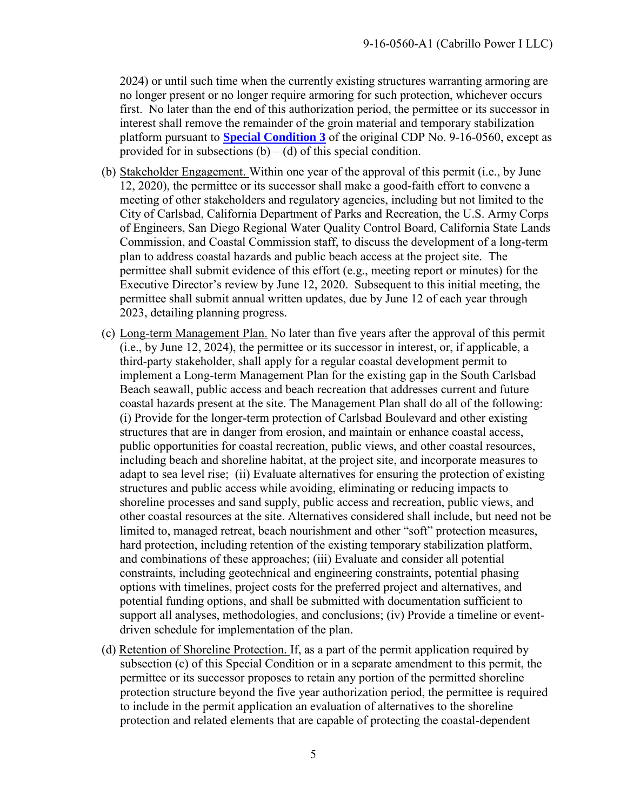2024) or until such time when the currently existing structures warranting armoring are no longer present or no longer require armoring for such protection, whichever occurs first. No later than the end of this authorization period, the permittee or its successor in interest shall remove the remainder of the groin material and temporary stabilization platform pursuant to **[Special Condition 3](#page-3-3)** of the original CDP No. 9-16-0560, except as provided for in subsections  $(b) - (d)$  of this special condition.

- (b) Stakeholder Engagement. Within one year of the approval of this permit (i.e., by June 12, 2020), the permittee or its successor shall make a good-faith effort to convene a meeting of other stakeholders and regulatory agencies, including but not limited to the City of Carlsbad, California Department of Parks and Recreation, the U.S. Army Corps of Engineers, San Diego Regional Water Quality Control Board, California State Lands Commission, and Coastal Commission staff, to discuss the development of a long-term plan to address coastal hazards and public beach access at the project site. The permittee shall submit evidence of this effort (e.g., meeting report or minutes) for the Executive Director's review by June 12, 2020. Subsequent to this initial meeting, the permittee shall submit annual written updates, due by June 12 of each year through 2023, detailing planning progress.
- (c) Long-term Management Plan. No later than five years after the approval of this permit (i.e., by June 12, 2024), the permittee or its successor in interest, or, if applicable, a third-party stakeholder, shall apply for a regular coastal development permit to implement a Long-term Management Plan for the existing gap in the South Carlsbad Beach seawall, public access and beach recreation that addresses current and future coastal hazards present at the site. The Management Plan shall do all of the following: (i) Provide for the longer-term protection of Carlsbad Boulevard and other existing structures that are in danger from erosion, and maintain or enhance coastal access, public opportunities for coastal recreation, public views, and other coastal resources, including beach and shoreline habitat, at the project site, and incorporate measures to adapt to sea level rise; (ii) Evaluate alternatives for ensuring the protection of existing structures and public access while avoiding, eliminating or reducing impacts to shoreline processes and sand supply, public access and recreation, public views, and other coastal resources at the site. Alternatives considered shall include, but need not be limited to, managed retreat, beach nourishment and other "soft" protection measures, hard protection, including retention of the existing temporary stabilization platform, and combinations of these approaches; (iii) Evaluate and consider all potential constraints, including geotechnical and engineering constraints, potential phasing options with timelines, project costs for the preferred project and alternatives, and potential funding options, and shall be submitted with documentation sufficient to support all analyses, methodologies, and conclusions; (iv) Provide a timeline or eventdriven schedule for implementation of the plan.
- (d) Retention of Shoreline Protection. If, as a part of the permit application required by subsection (c) of this Special Condition or in a separate amendment to this permit, the permittee or its successor proposes to retain any portion of the permitted shoreline protection structure beyond the five year authorization period, the permittee is required to include in the permit application an evaluation of alternatives to the shoreline protection and related elements that are capable of protecting the coastal-dependent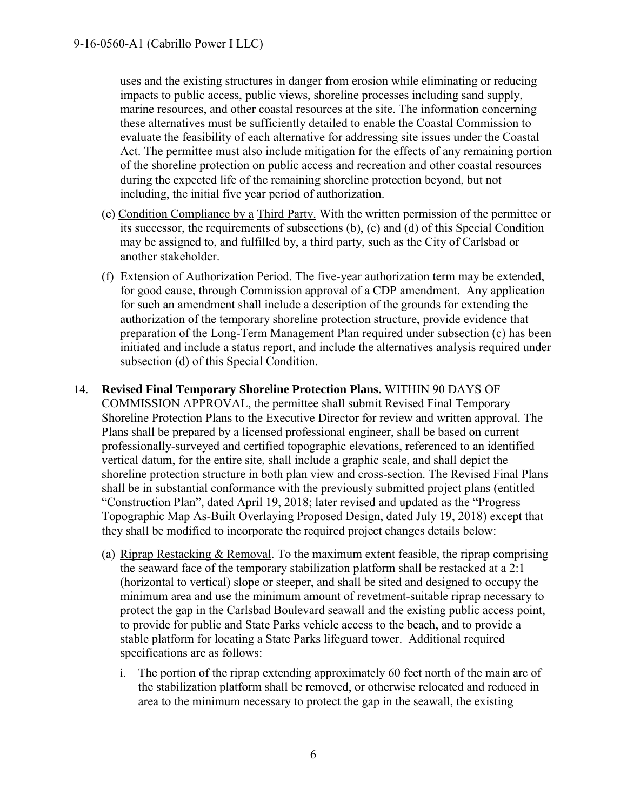uses and the existing structures in danger from erosion while eliminating or reducing impacts to public access, public views, shoreline processes including sand supply, marine resources, and other coastal resources at the site. The information concerning these alternatives must be sufficiently detailed to enable the Coastal Commission to evaluate the feasibility of each alternative for addressing site issues under the Coastal Act. The permittee must also include mitigation for the effects of any remaining portion of the shoreline protection on public access and recreation and other coastal resources during the expected life of the remaining shoreline protection beyond, but not including, the initial five year period of authorization.

- (e) Condition Compliance by a Third Party. With the written permission of the permittee or its successor, the requirements of subsections (b), (c) and (d) of this Special Condition may be assigned to, and fulfilled by, a third party, such as the City of Carlsbad or another stakeholder.
- (f) Extension of Authorization Period. The five-year authorization term may be extended, for good cause, through Commission approval of a CDP amendment. Any application for such an amendment shall include a description of the grounds for extending the authorization of the temporary shoreline protection structure, provide evidence that preparation of the Long-Term Management Plan required under subsection (c) has been initiated and include a status report, and include the alternatives analysis required under subsection (d) of this Special Condition.
- <span id="page-5-0"></span>14. **Revised Final Temporary Shoreline Protection Plans.** WITHIN 90 DAYS OF COMMISSION APPROVAL, the permittee shall submit Revised Final Temporary Shoreline Protection Plans to the Executive Director for review and written approval. The Plans shall be prepared by a licensed professional engineer, shall be based on current professionally-surveyed and certified topographic elevations, referenced to an identified vertical datum, for the entire site, shall include a graphic scale, and shall depict the shoreline protection structure in both plan view and cross-section. The Revised Final Plans shall be in substantial conformance with the previously submitted project plans (entitled "Construction Plan", dated April 19, 2018; later revised and updated as the "Progress Topographic Map As-Built Overlaying Proposed Design, dated July 19, 2018) except that they shall be modified to incorporate the required project changes details below:
	- (a) Riprap Restacking & Removal. To the maximum extent feasible, the riprap comprising the seaward face of the temporary stabilization platform shall be restacked at a 2:1 (horizontal to vertical) slope or steeper, and shall be sited and designed to occupy the minimum area and use the minimum amount of revetment-suitable riprap necessary to protect the gap in the Carlsbad Boulevard seawall and the existing public access point, to provide for public and State Parks vehicle access to the beach, and to provide a stable platform for locating a State Parks lifeguard tower. Additional required specifications are as follows:
		- i. The portion of the riprap extending approximately 60 feet north of the main arc of the stabilization platform shall be removed, or otherwise relocated and reduced in area to the minimum necessary to protect the gap in the seawall, the existing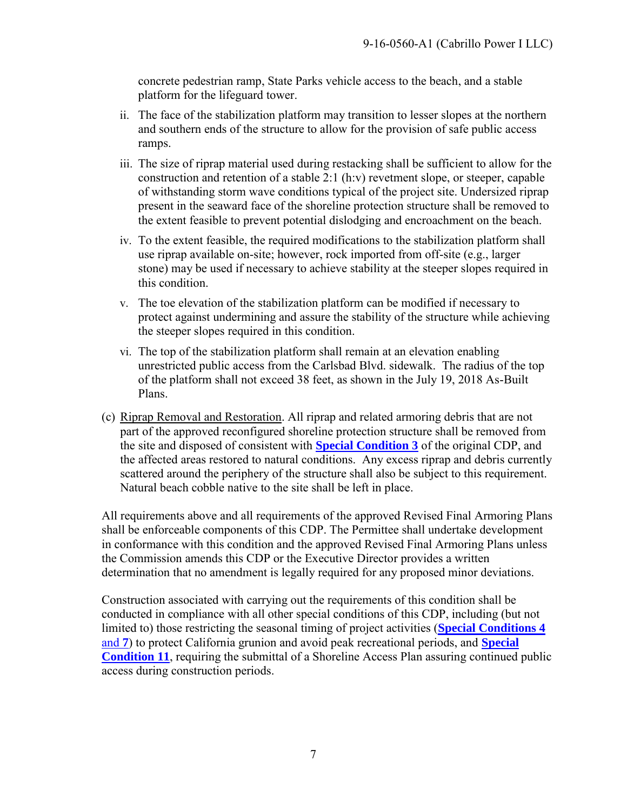concrete pedestrian ramp, State Parks vehicle access to the beach, and a stable platform for the lifeguard tower.

- ii. The face of the stabilization platform may transition to lesser slopes at the northern and southern ends of the structure to allow for the provision of safe public access ramps.
- iii. The size of riprap material used during restacking shall be sufficient to allow for the construction and retention of a stable 2:1 (h:v) revetment slope, or steeper, capable of withstanding storm wave conditions typical of the project site. Undersized riprap present in the seaward face of the shoreline protection structure shall be removed to the extent feasible to prevent potential dislodging and encroachment on the beach.
- iv. To the extent feasible, the required modifications to the stabilization platform shall use riprap available on-site; however, rock imported from off-site (e.g., larger stone) may be used if necessary to achieve stability at the steeper slopes required in this condition.
- v. The toe elevation of the stabilization platform can be modified if necessary to protect against undermining and assure the stability of the structure while achieving the steeper slopes required in this condition.
- vi. The top of the stabilization platform shall remain at an elevation enabling unrestricted public access from the Carlsbad Blvd. sidewalk. The radius of the top of the platform shall not exceed 38 feet, as shown in the July 19, 2018 As-Built Plans.
- (c) Riprap Removal and Restoration. All riprap and related armoring debris that are not part of the approved reconfigured shoreline protection structure shall be removed from the site and disposed of consistent with **[Special Condition 3](#page-3-3)** of the original CDP, and the affected areas restored to natural conditions. Any excess riprap and debris currently scattered around the periphery of the structure shall also be subject to this requirement. Natural beach cobble native to the site shall be left in place.

All requirements above and all requirements of the approved Revised Final Armoring Plans shall be enforceable components of this CDP. The Permittee shall undertake development in conformance with this condition and the approved Revised Final Armoring Plans unless the Commission amends this CDP or the Executive Director provides a written determination that no amendment is legally required for any proposed minor deviations.

<span id="page-6-0"></span>Construction associated with carrying out the requirements of this condition shall be conducted in compliance with all other special conditions of this CDP, including (but not limited to) those restricting the seasonal timing of project activities (**[Special Conditions 4](#page-27-0)**  [and](#page-27-0) **7**) to protect California grunion and avoid peak recreational periods, and **[Special](#page-27-0)  [Condition 11](#page-27-0)**, requiring the submittal of a Shoreline Access Plan assuring continued public access during construction periods.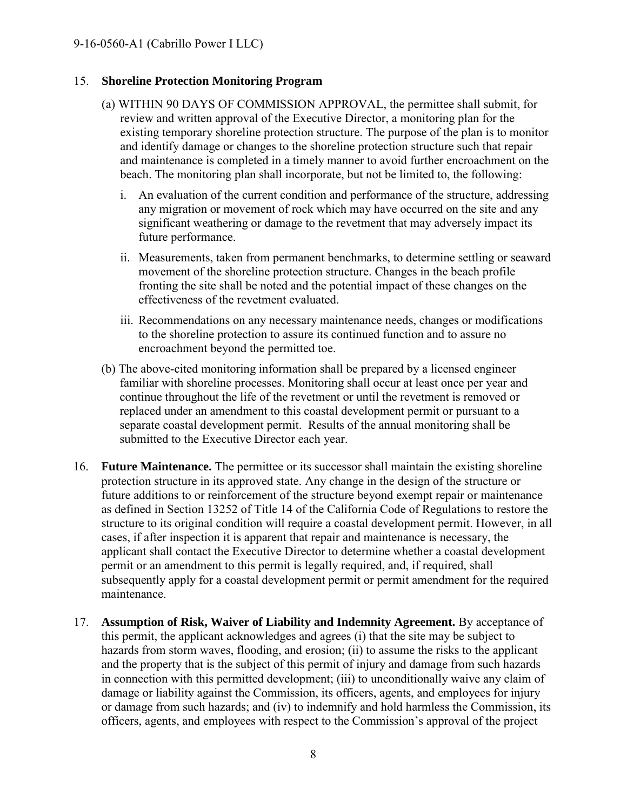#### 15. **Shoreline Protection Monitoring Program**

- (a) WITHIN 90 DAYS OF COMMISSION APPROVAL, the permittee shall submit, for review and written approval of the Executive Director, a monitoring plan for the existing temporary shoreline protection structure. The purpose of the plan is to monitor and identify damage or changes to the shoreline protection structure such that repair and maintenance is completed in a timely manner to avoid further encroachment on the beach. The monitoring plan shall incorporate, but not be limited to, the following:
	- i. An evaluation of the current condition and performance of the structure, addressing any migration or movement of rock which may have occurred on the site and any significant weathering or damage to the revetment that may adversely impact its future performance.
	- ii. Measurements, taken from permanent benchmarks, to determine settling or seaward movement of the shoreline protection structure. Changes in the beach profile fronting the site shall be noted and the potential impact of these changes on the effectiveness of the revetment evaluated.
	- iii. Recommendations on any necessary maintenance needs, changes or modifications to the shoreline protection to assure its continued function and to assure no encroachment beyond the permitted toe.
- (b) The above-cited monitoring information shall be prepared by a licensed engineer familiar with shoreline processes. Monitoring shall occur at least once per year and continue throughout the life of the revetment or until the revetment is removed or replaced under an amendment to this coastal development permit or pursuant to a separate coastal development permit. Results of the annual monitoring shall be submitted to the Executive Director each year.
- <span id="page-7-0"></span>16. **Future Maintenance.** The permittee or its successor shall maintain the existing shoreline protection structure in its approved state. Any change in the design of the structure or future additions to or reinforcement of the structure beyond exempt repair or maintenance as defined in Section 13252 of Title 14 of the California Code of Regulations to restore the structure to its original condition will require a coastal development permit. However, in all cases, if after inspection it is apparent that repair and maintenance is necessary, the applicant shall contact the Executive Director to determine whether a coastal development permit or an amendment to this permit is legally required, and, if required, shall subsequently apply for a coastal development permit or permit amendment for the required maintenance.
- <span id="page-7-1"></span>17. **Assumption of Risk, Waiver of Liability and Indemnity Agreement.** By acceptance of this permit, the applicant acknowledges and agrees (i) that the site may be subject to hazards from storm waves, flooding, and erosion; (ii) to assume the risks to the applicant and the property that is the subject of this permit of injury and damage from such hazards in connection with this permitted development; (iii) to unconditionally waive any claim of damage or liability against the Commission, its officers, agents, and employees for injury or damage from such hazards; and (iv) to indemnify and hold harmless the Commission, its officers, agents, and employees with respect to the Commission's approval of the project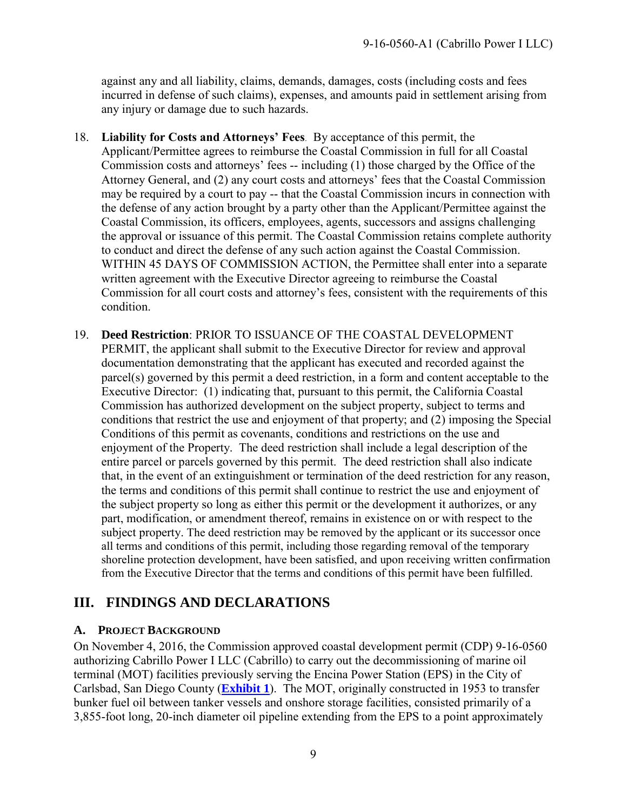against any and all liability, claims, demands, damages, costs (including costs and fees incurred in defense of such claims), expenses, and amounts paid in settlement arising from any injury or damage due to such hazards.

- 18. **Liability for Costs and Attorneys' Fees**. By acceptance of this permit, the Applicant/Permittee agrees to reimburse the Coastal Commission in full for all Coastal Commission costs and attorneys' fees -- including (1) those charged by the Office of the Attorney General, and (2) any court costs and attorneys' fees that the Coastal Commission may be required by a court to pay -- that the Coastal Commission incurs in connection with the defense of any action brought by a party other than the Applicant/Permittee against the Coastal Commission, its officers, employees, agents, successors and assigns challenging the approval or issuance of this permit. The Coastal Commission retains complete authority to conduct and direct the defense of any such action against the Coastal Commission. WITHIN 45 DAYS OF COMMISSION ACTION, the Permittee shall enter into a separate written agreement with the Executive Director agreeing to reimburse the Coastal Commission for all court costs and attorney's fees, consistent with the requirements of this condition.
- <span id="page-8-2"></span>19. **Deed Restriction**: PRIOR TO ISSUANCE OF THE COASTAL DEVELOPMENT PERMIT, the applicant shall submit to the Executive Director for review and approval documentation demonstrating that the applicant has executed and recorded against the parcel(s) governed by this permit a deed restriction, in a form and content acceptable to the Executive Director: (1) indicating that, pursuant to this permit, the California Coastal Commission has authorized development on the subject property, subject to terms and conditions that restrict the use and enjoyment of that property; and (2) imposing the Special Conditions of this permit as covenants, conditions and restrictions on the use and enjoyment of the Property. The deed restriction shall include a legal description of the entire parcel or parcels governed by this permit. The deed restriction shall also indicate that, in the event of an extinguishment or termination of the deed restriction for any reason, the terms and conditions of this permit shall continue to restrict the use and enjoyment of the subject property so long as either this permit or the development it authorizes, or any part, modification, or amendment thereof, remains in existence on or with respect to the subject property. The deed restriction may be removed by the applicant or its successor once all terms and conditions of this permit, including those regarding removal of the temporary shoreline protection development, have been satisfied, and upon receiving written confirmation from the Executive Director that the terms and conditions of this permit have been fulfilled.

## <span id="page-8-0"></span>**III. FINDINGS AND DECLARATIONS**

#### <span id="page-8-1"></span>**A. PROJECT BACKGROUND**

On November 4, 2016, the Commission approved coastal development permit (CDP) 9-16-0560 authorizing Cabrillo Power I LLC (Cabrillo) to carry out the decommissioning of marine oil terminal (MOT) facilities previously serving the Encina Power Station (EPS) in the City of Carlsbad, San Diego County (**[Exhibit 1](https://documents.coastal.ca.gov/reports/2019/6/w20.1a/w20.1a-6-2019-exhibits.pdf)**). The MOT, originally constructed in 1953 to transfer bunker fuel oil between tanker vessels and onshore storage facilities, consisted primarily of a 3,855-foot long, 20-inch diameter oil pipeline extending from the EPS to a point approximately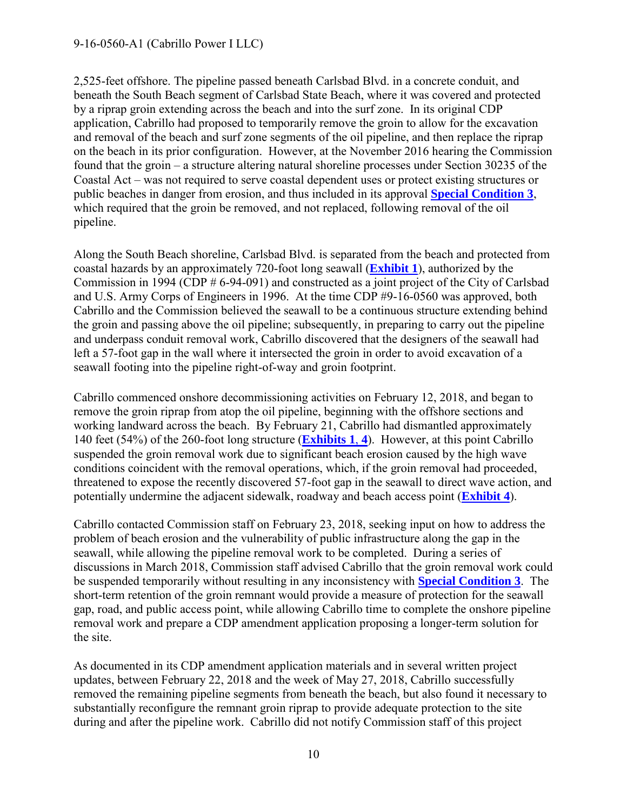#### 9-16-0560-A1 (Cabrillo Power I LLC)

2,525-feet offshore. The pipeline passed beneath Carlsbad Blvd. in a concrete conduit, and beneath the South Beach segment of Carlsbad State Beach, where it was covered and protected by a riprap groin extending across the beach and into the surf zone. In its original CDP application, Cabrillo had proposed to temporarily remove the groin to allow for the excavation and removal of the beach and surf zone segments of the oil pipeline, and then replace the riprap on the beach in its prior configuration. However, at the November 2016 hearing the Commission found that the groin – a structure altering natural shoreline processes under Section 30235 of the Coastal Act – was not required to serve coastal dependent uses or protect existing structures or public beaches in danger from erosion, and thus included in its approval **[Special Condition 3](#page-27-0)**, which required that the groin be removed, and not replaced, following removal of the oil pipeline.

Along the South Beach shoreline, Carlsbad Blvd. is separated from the beach and protected from coastal hazards by an approximately 720-foot long seawall (**[Exhibit 1](https://documents.coastal.ca.gov/reports/2019/6/w20.1a/w20.1a-6-2019-exhibits.pdf)**), authorized by the Commission in 1994 (CDP # 6-94-091) and constructed as a joint project of the City of Carlsbad and U.S. Army Corps of Engineers in 1996. At the time CDP #9-16-0560 was approved, both Cabrillo and the Commission believed the seawall to be a continuous structure extending behind the groin and passing above the oil pipeline; subsequently, in preparing to carry out the pipeline and underpass conduit removal work, Cabrillo discovered that the designers of the seawall had left a 57-foot gap in the wall where it intersected the groin in order to avoid excavation of a seawall footing into the pipeline right-of-way and groin footprint.

Cabrillo commenced onshore decommissioning activities on February 12, 2018, and began to remove the groin riprap from atop the oil pipeline, beginning with the offshore sections and working landward across the beach. By February 21, Cabrillo had dismantled approximately 140 feet (54%) of the 260-foot long structure (**[Exhibits](https://documents.coastal.ca.gov/reports/2019/6/w20.1a/w20.1a-6-2019-exhibits.pdf) 1**, **4**). However, at this point Cabrillo suspended the groin removal work due to significant beach erosion caused by the high wave conditions coincident with the removal operations, which, if the groin removal had proceeded, threatened to expose the recently discovered 57-foot gap in the seawall to direct wave action, and potentially undermine the adjacent sidewalk, roadway and beach access point (**[Exhibit 4](https://documents.coastal.ca.gov/reports/2019/6/w20.1a/w20.1a-6-2019-exhibits.pdf)**).

Cabrillo contacted Commission staff on February 23, 2018, seeking input on how to address the problem of beach erosion and the vulnerability of public infrastructure along the gap in the seawall, while allowing the pipeline removal work to be completed. During a series of discussions in March 2018, Commission staff advised Cabrillo that the groin removal work could be suspended temporarily without resulting in any inconsistency with **[Special Condition 3](#page-27-0)**. The short-term retention of the groin remnant would provide a measure of protection for the seawall gap, road, and public access point, while allowing Cabrillo time to complete the onshore pipeline removal work and prepare a CDP amendment application proposing a longer-term solution for the site.

As documented in its CDP amendment application materials and in several written project updates, between February 22, 2018 and the week of May 27, 2018, Cabrillo successfully removed the remaining pipeline segments from beneath the beach, but also found it necessary to substantially reconfigure the remnant groin riprap to provide adequate protection to the site during and after the pipeline work. Cabrillo did not notify Commission staff of this project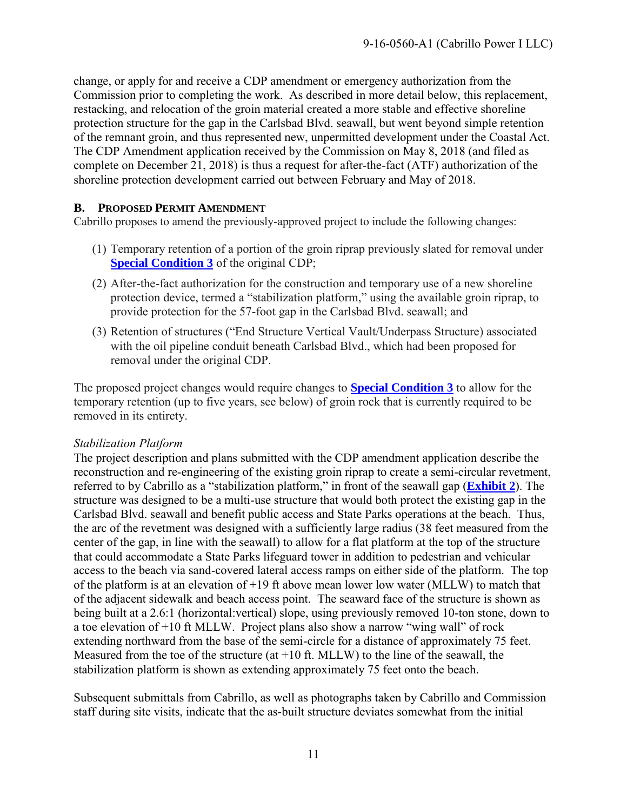change, or apply for and receive a CDP amendment or emergency authorization from the Commission prior to completing the work. As described in more detail below, this replacement, restacking, and relocation of the groin material created a more stable and effective shoreline protection structure for the gap in the Carlsbad Blvd. seawall, but went beyond simple retention of the remnant groin, and thus represented new, unpermitted development under the Coastal Act. The CDP Amendment application received by the Commission on May 8, 2018 (and filed as complete on December 21, 2018) is thus a request for after-the-fact (ATF) authorization of the shoreline protection development carried out between February and May of 2018.

#### **B. PROPOSED PERMIT AMENDMENT**

Cabrillo proposes to amend the previously-approved project to include the following changes:

- (1) Temporary retention of a portion of the groin riprap previously slated for removal under **[Special Condition 3](#page-27-0)** of the original CDP;
- (2) After-the-fact authorization for the construction and temporary use of a new shoreline protection device, termed a "stabilization platform," using the available groin riprap, to provide protection for the 57-foot gap in the Carlsbad Blvd. seawall; and
- (3) Retention of structures ("End Structure Vertical Vault/Underpass Structure) associated with the oil pipeline conduit beneath Carlsbad Blvd., which had been proposed for removal under the original CDP.

The proposed project changes would require changes to **[Special Condition 3](#page-3-3)** to allow for the temporary retention (up to five years, see below) of groin rock that is currently required to be removed in its entirety.

#### *Stabilization Platform*

The project description and plans submitted with the CDP amendment application describe the reconstruction and re-engineering of the existing groin riprap to create a semi-circular revetment, referred to by Cabrillo as a "stabilization platform," in front of the seawall gap (**[Exhibit](https://documents.coastal.ca.gov/reports/2019/6/w20.1a/w20.1a-6-2019-exhibits.pdf) 2**). The structure was designed to be a multi-use structure that would both protect the existing gap in the Carlsbad Blvd. seawall and benefit public access and State Parks operations at the beach. Thus, the arc of the revetment was designed with a sufficiently large radius (38 feet measured from the center of the gap, in line with the seawall) to allow for a flat platform at the top of the structure that could accommodate a State Parks lifeguard tower in addition to pedestrian and vehicular access to the beach via sand-covered lateral access ramps on either side of the platform. The top of the platform is at an elevation of +19 ft above mean lower low water (MLLW) to match that of the adjacent sidewalk and beach access point. The seaward face of the structure is shown as being built at a 2.6:1 (horizontal:vertical) slope, using previously removed 10-ton stone, down to a toe elevation of +10 ft MLLW. Project plans also show a narrow "wing wall" of rock extending northward from the base of the semi-circle for a distance of approximately 75 feet. Measured from the toe of the structure (at +10 ft. MLLW) to the line of the seawall, the stabilization platform is shown as extending approximately 75 feet onto the beach.

Subsequent submittals from Cabrillo, as well as photographs taken by Cabrillo and Commission staff during site visits, indicate that the as-built structure deviates somewhat from the initial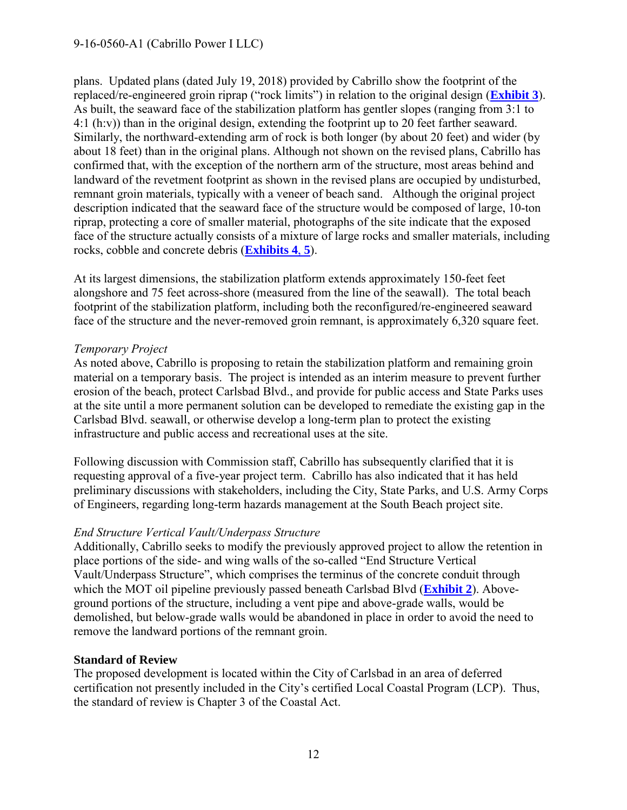plans. Updated plans (dated July 19, 2018) provided by Cabrillo show the footprint of the replaced/re-engineered groin riprap ("rock limits") in relation to the original design (**[Exhibit 3](https://documents.coastal.ca.gov/reports/2019/6/w20.1a/w20.1a-6-2019-exhibits.pdf)**). As built, the seaward face of the stabilization platform has gentler slopes (ranging from 3:1 to 4:1 (h:v)) than in the original design, extending the footprint up to 20 feet farther seaward. Similarly, the northward-extending arm of rock is both longer (by about 20 feet) and wider (by about 18 feet) than in the original plans. Although not shown on the revised plans, Cabrillo has confirmed that, with the exception of the northern arm of the structure, most areas behind and landward of the revetment footprint as shown in the revised plans are occupied by undisturbed, remnant groin materials, typically with a veneer of beach sand. Although the original project description indicated that the seaward face of the structure would be composed of large, 10-ton riprap, protecting a core of smaller material, photographs of the site indicate that the exposed face of the structure actually consists of a mixture of large rocks and smaller materials, including rocks, cobble and concrete debris (**[Exhibits](https://documents.coastal.ca.gov/reports/2019/6/w20.1a/w20.1a-6-2019-exhibits.pdf) 4**, **5**).

At its largest dimensions, the stabilization platform extends approximately 150-feet feet alongshore and 75 feet across-shore (measured from the line of the seawall). The total beach footprint of the stabilization platform, including both the reconfigured/re-engineered seaward face of the structure and the never-removed groin remnant, is approximately 6,320 square feet.

#### *Temporary Project*

As noted above, Cabrillo is proposing to retain the stabilization platform and remaining groin material on a temporary basis. The project is intended as an interim measure to prevent further erosion of the beach, protect Carlsbad Blvd., and provide for public access and State Parks uses at the site until a more permanent solution can be developed to remediate the existing gap in the Carlsbad Blvd. seawall, or otherwise develop a long-term plan to protect the existing infrastructure and public access and recreational uses at the site.

Following discussion with Commission staff, Cabrillo has subsequently clarified that it is requesting approval of a five-year project term. Cabrillo has also indicated that it has held preliminary discussions with stakeholders, including the City, State Parks, and U.S. Army Corps of Engineers, regarding long-term hazards management at the South Beach project site.

#### *End Structure Vertical Vault/Underpass Structure*

Additionally, Cabrillo seeks to modify the previously approved project to allow the retention in place portions of the side- and wing walls of the so-called "End Structure Vertical Vault/Underpass Structure", which comprises the terminus of the concrete conduit through which the MOT oil pipeline previously passed beneath Carlsbad Blvd (**[Exhibit 2](https://documents.coastal.ca.gov/reports/2019/6/w20.1a/w20.1a-6-2019-exhibits.pdf)**). Aboveground portions of the structure, including a vent pipe and above-grade walls, would be demolished, but below-grade walls would be abandoned in place in order to avoid the need to remove the landward portions of the remnant groin.

#### **Standard of Review**

The proposed development is located within the City of Carlsbad in an area of deferred certification not presently included in the City's certified Local Coastal Program (LCP). Thus, the standard of review is Chapter 3 of the Coastal Act.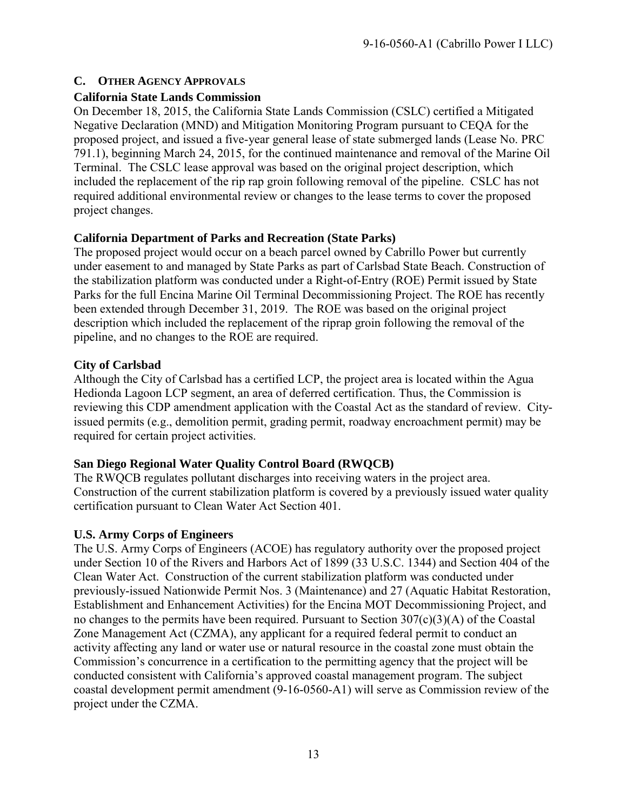#### <span id="page-12-0"></span>**C. OTHER AGENCY APPROVALS**

#### **California State Lands Commission**

On December 18, 2015, the California State Lands Commission (CSLC) certified a Mitigated Negative Declaration (MND) and Mitigation Monitoring Program pursuant to CEQA for the proposed project, and issued a five-year general lease of state submerged lands (Lease No. PRC 791.1), beginning March 24, 2015, for the continued maintenance and removal of the Marine Oil Terminal. The CSLC lease approval was based on the original project description, which included the replacement of the rip rap groin following removal of the pipeline. CSLC has not required additional environmental review or changes to the lease terms to cover the proposed project changes.

#### **California Department of Parks and Recreation (State Parks)**

The proposed project would occur on a beach parcel owned by Cabrillo Power but currently under easement to and managed by State Parks as part of Carlsbad State Beach. Construction of the stabilization platform was conducted under a Right-of-Entry (ROE) Permit issued by State Parks for the full Encina Marine Oil Terminal Decommissioning Project. The ROE has recently been extended through December 31, 2019. The ROE was based on the original project description which included the replacement of the riprap groin following the removal of the pipeline, and no changes to the ROE are required.

#### **City of Carlsbad**

Although the City of Carlsbad has a certified LCP, the project area is located within the Agua Hedionda Lagoon LCP segment, an area of deferred certification. Thus, the Commission is reviewing this CDP amendment application with the Coastal Act as the standard of review. Cityissued permits (e.g., demolition permit, grading permit, roadway encroachment permit) may be required for certain project activities.

#### **San Diego Regional Water Quality Control Board (RWQCB)**

The RWQCB regulates pollutant discharges into receiving waters in the project area. Construction of the current stabilization platform is covered by a previously issued water quality certification pursuant to Clean Water Act Section 401.

#### **U.S. Army Corps of Engineers**

The U.S. Army Corps of Engineers (ACOE) has regulatory authority over the proposed project under Section 10 of the Rivers and Harbors Act of 1899 (33 U.S.C. 1344) and Section 404 of the Clean Water Act. Construction of the current stabilization platform was conducted under previously-issued Nationwide Permit Nos. 3 (Maintenance) and 27 (Aquatic Habitat Restoration, Establishment and Enhancement Activities) for the Encina MOT Decommissioning Project, and no changes to the permits have been required. Pursuant to Section 307(c)(3)(A) of the Coastal Zone Management Act (CZMA), any applicant for a required federal permit to conduct an activity affecting any land or water use or natural resource in the coastal zone must obtain the Commission's concurrence in a certification to the permitting agency that the project will be conducted consistent with California's approved coastal management program. The subject coastal development permit amendment (9-16-0560-A1) will serve as Commission review of the project under the CZMA.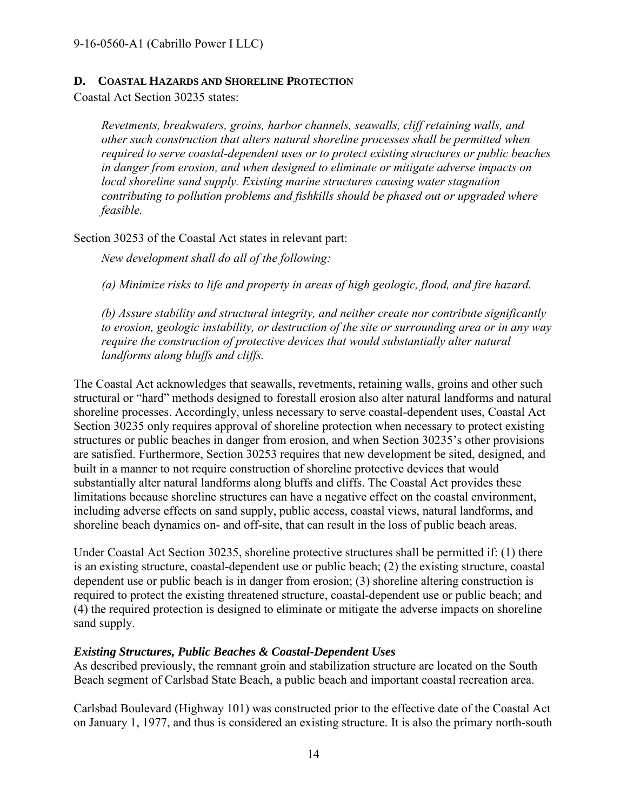#### <span id="page-13-0"></span>**D. COASTAL HAZARDS AND SHORELINE PROTECTION**

Coastal Act Section 30235 states:

*Revetments, breakwaters, groins, harbor channels, seawalls, cliff retaining walls, and other such construction that alters natural shoreline processes shall be permitted when required to serve coastal-dependent uses or to protect existing structures or public beaches in danger from erosion, and when designed to eliminate or mitigate adverse impacts on local shoreline sand supply. Existing marine structures causing water stagnation contributing to pollution problems and fishkills should be phased out or upgraded where feasible.*

Section 30253 of the Coastal Act states in relevant part:

*New development shall do all of the following:* 

*(a) Minimize risks to life and property in areas of high geologic, flood, and fire hazard.* 

*(b) Assure stability and structural integrity, and neither create nor contribute significantly to erosion, geologic instability, or destruction of the site or surrounding area or in any way require the construction of protective devices that would substantially alter natural landforms along bluffs and cliffs.* 

The Coastal Act acknowledges that seawalls, revetments, retaining walls, groins and other such structural or "hard" methods designed to forestall erosion also alter natural landforms and natural shoreline processes. Accordingly, unless necessary to serve coastal-dependent uses, Coastal Act Section 30235 only requires approval of shoreline protection when necessary to protect existing structures or public beaches in danger from erosion, and when Section 30235's other provisions are satisfied. Furthermore, Section 30253 requires that new development be sited, designed, and built in a manner to not require construction of shoreline protective devices that would substantially alter natural landforms along bluffs and cliffs. The Coastal Act provides these limitations because shoreline structures can have a negative effect on the coastal environment, including adverse effects on sand supply, public access, coastal views, natural landforms, and shoreline beach dynamics on- and off-site, that can result in the loss of public beach areas.

Under Coastal Act Section 30235, shoreline protective structures shall be permitted if: (1) there is an existing structure, coastal-dependent use or public beach; (2) the existing structure, coastal dependent use or public beach is in danger from erosion; (3) shoreline altering construction is required to protect the existing threatened structure, coastal-dependent use or public beach; and (4) the required protection is designed to eliminate or mitigate the adverse impacts on shoreline sand supply.

#### *Existing Structures, Public Beaches & Coastal-Dependent Uses*

As described previously, the remnant groin and stabilization structure are located on the South Beach segment of Carlsbad State Beach, a public beach and important coastal recreation area.

Carlsbad Boulevard (Highway 101) was constructed prior to the effective date of the Coastal Act on January 1, 1977, and thus is considered an existing structure. It is also the primary north-south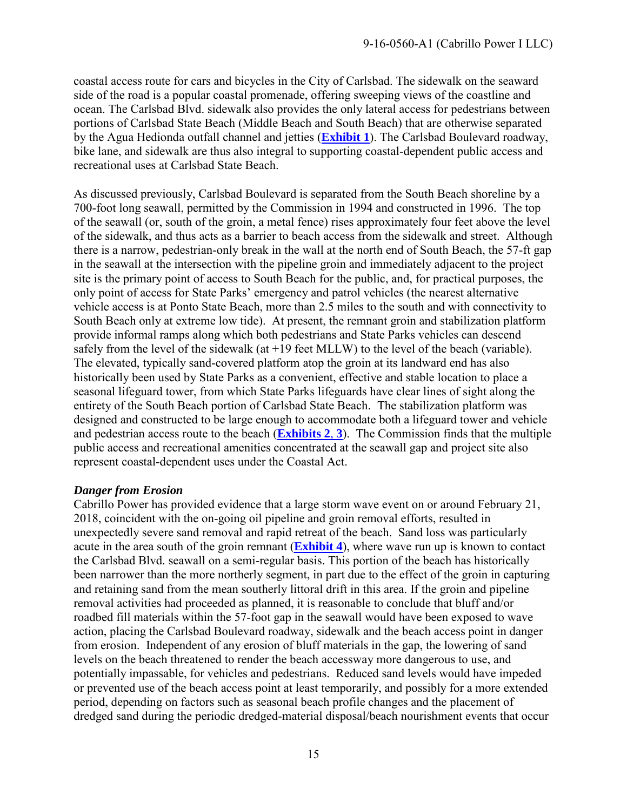coastal access route for cars and bicycles in the City of Carlsbad. The sidewalk on the seaward side of the road is a popular coastal promenade, offering sweeping views of the coastline and ocean. The Carlsbad Blvd. sidewalk also provides the only lateral access for pedestrians between portions of Carlsbad State Beach (Middle Beach and South Beach) that are otherwise separated by the Agua Hedionda outfall channel and jetties (**[Exhibit 1](https://documents.coastal.ca.gov/reports/2019/6/w20.1a/w20.1a-6-2019-exhibits.pdf)**). The Carlsbad Boulevard roadway, bike lane, and sidewalk are thus also integral to supporting coastal-dependent public access and recreational uses at Carlsbad State Beach.

As discussed previously, Carlsbad Boulevard is separated from the South Beach shoreline by a 700-foot long seawall, permitted by the Commission in 1994 and constructed in 1996. The top of the seawall (or, south of the groin, a metal fence) rises approximately four feet above the level of the sidewalk, and thus acts as a barrier to beach access from the sidewalk and street. Although there is a narrow, pedestrian-only break in the wall at the north end of South Beach, the 57-ft gap in the seawall at the intersection with the pipeline groin and immediately adjacent to the project site is the primary point of access to South Beach for the public, and, for practical purposes, the only point of access for State Parks' emergency and patrol vehicles (the nearest alternative vehicle access is at Ponto State Beach, more than 2.5 miles to the south and with connectivity to South Beach only at extreme low tide). At present, the remnant groin and stabilization platform provide informal ramps along which both pedestrians and State Parks vehicles can descend safely from the level of the sidewalk (at +19 feet MLLW) to the level of the beach (variable). The elevated, typically sand-covered platform atop the groin at its landward end has also historically been used by State Parks as a convenient, effective and stable location to place a seasonal lifeguard tower, from which State Parks lifeguards have clear lines of sight along the entirety of the South Beach portion of Carlsbad State Beach. The stabilization platform was designed and constructed to be large enough to accommodate both a lifeguard tower and vehicle and pedestrian access route to the beach (**[Exhibits](https://documents.coastal.ca.gov/reports/2019/6/w20.1a/w20.1a-6-2019-exhibits.pdf) 2**, **3**). The Commission finds that the multiple public access and recreational amenities concentrated at the seawall gap and project site also represent coastal-dependent uses under the Coastal Act.

#### *Danger from Erosion*

Cabrillo Power has provided evidence that a large storm wave event on or around February 21, 2018, coincident with the on-going oil pipeline and groin removal efforts, resulted in unexpectedly severe sand removal and rapid retreat of the beach. Sand loss was particularly acute in the area south of the groin remnant (**[Exhibit 4](https://documents.coastal.ca.gov/reports/2019/6/w20.1a/w20.1a-6-2019-exhibits.pdf)**), where wave run up is known to contact the Carlsbad Blvd. seawall on a semi-regular basis. This portion of the beach has historically been narrower than the more northerly segment, in part due to the effect of the groin in capturing and retaining sand from the mean southerly littoral drift in this area. If the groin and pipeline removal activities had proceeded as planned, it is reasonable to conclude that bluff and/or roadbed fill materials within the 57-foot gap in the seawall would have been exposed to wave action, placing the Carlsbad Boulevard roadway, sidewalk and the beach access point in danger from erosion. Independent of any erosion of bluff materials in the gap, the lowering of sand levels on the beach threatened to render the beach accessway more dangerous to use, and potentially impassable, for vehicles and pedestrians. Reduced sand levels would have impeded or prevented use of the beach access point at least temporarily, and possibly for a more extended period, depending on factors such as seasonal beach profile changes and the placement of dredged sand during the periodic dredged-material disposal/beach nourishment events that occur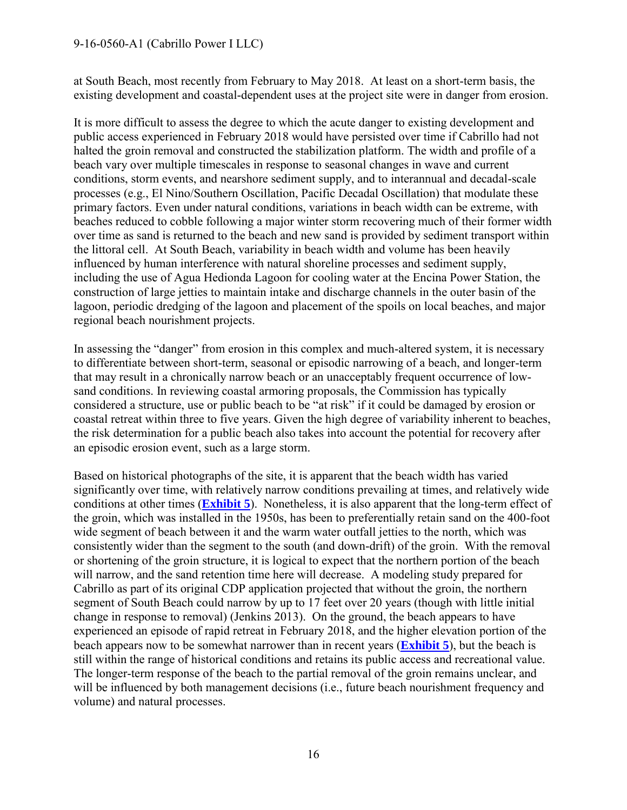#### 9-16-0560-A1 (Cabrillo Power I LLC)

at South Beach, most recently from February to May 2018. At least on a short-term basis, the existing development and coastal-dependent uses at the project site were in danger from erosion.

It is more difficult to assess the degree to which the acute danger to existing development and public access experienced in February 2018 would have persisted over time if Cabrillo had not halted the groin removal and constructed the stabilization platform. The width and profile of a beach vary over multiple timescales in response to seasonal changes in wave and current conditions, storm events, and nearshore sediment supply, and to interannual and decadal-scale processes (e.g., El Nino/Southern Oscillation, Pacific Decadal Oscillation) that modulate these primary factors. Even under natural conditions, variations in beach width can be extreme, with beaches reduced to cobble following a major winter storm recovering much of their former width over time as sand is returned to the beach and new sand is provided by sediment transport within the littoral cell. At South Beach, variability in beach width and volume has been heavily influenced by human interference with natural shoreline processes and sediment supply, including the use of Agua Hedionda Lagoon for cooling water at the Encina Power Station, the construction of large jetties to maintain intake and discharge channels in the outer basin of the lagoon, periodic dredging of the lagoon and placement of the spoils on local beaches, and major regional beach nourishment projects.

In assessing the "danger" from erosion in this complex and much-altered system, it is necessary to differentiate between short-term, seasonal or episodic narrowing of a beach, and longer-term that may result in a chronically narrow beach or an unacceptably frequent occurrence of lowsand conditions. In reviewing coastal armoring proposals, the Commission has typically considered a structure, use or public beach to be "at risk" if it could be damaged by erosion or coastal retreat within three to five years. Given the high degree of variability inherent to beaches, the risk determination for a public beach also takes into account the potential for recovery after an episodic erosion event, such as a large storm.

Based on historical photographs of the site, it is apparent that the beach width has varied significantly over time, with relatively narrow conditions prevailing at times, and relatively wide conditions at other times (**[Exhibit 5](https://documents.coastal.ca.gov/reports/2019/6/w20.1a/w20.1a-6-2019-exhibits.pdf)**). Nonetheless, it is also apparent that the long-term effect of the groin, which was installed in the 1950s, has been to preferentially retain sand on the 400-foot wide segment of beach between it and the warm water outfall jetties to the north, which was consistently wider than the segment to the south (and down-drift) of the groin. With the removal or shortening of the groin structure, it is logical to expect that the northern portion of the beach will narrow, and the sand retention time here will decrease. A modeling study prepared for Cabrillo as part of its original CDP application projected that without the groin, the northern segment of South Beach could narrow by up to 17 feet over 20 years (though with little initial change in response to removal) (Jenkins 2013). On the ground, the beach appears to have experienced an episode of rapid retreat in February 2018, and the higher elevation portion of the beach appears now to be somewhat narrower than in recent years (**[Exhibit 5](https://documents.coastal.ca.gov/reports/2019/6/w20.1a/w20.1a-6-2019-exhibits.pdf)**), but the beach is still within the range of historical conditions and retains its public access and recreational value. The longer-term response of the beach to the partial removal of the groin remains unclear, and will be influenced by both management decisions *(i.e., future beach nourishment frequency and* volume) and natural processes.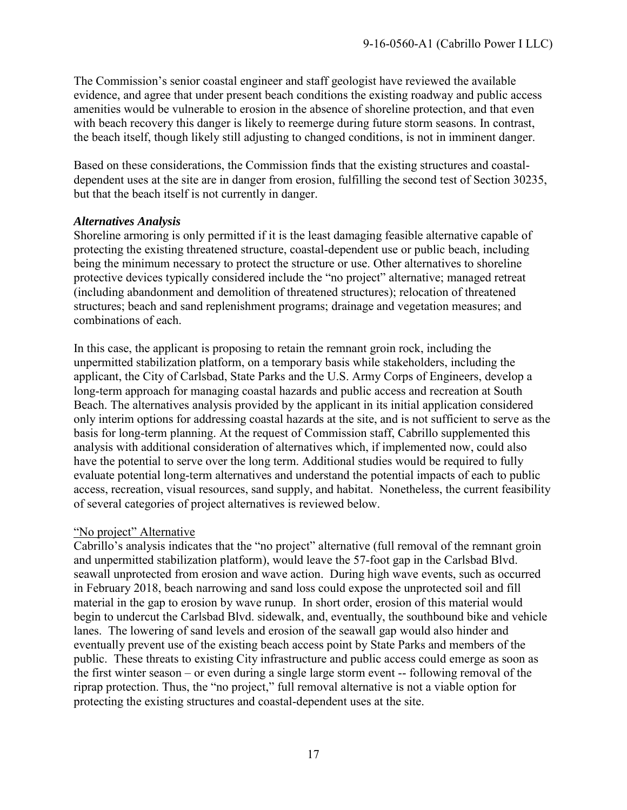The Commission's senior coastal engineer and staff geologist have reviewed the available evidence, and agree that under present beach conditions the existing roadway and public access amenities would be vulnerable to erosion in the absence of shoreline protection, and that even with beach recovery this danger is likely to reemerge during future storm seasons. In contrast, the beach itself, though likely still adjusting to changed conditions, is not in imminent danger.

Based on these considerations, the Commission finds that the existing structures and coastaldependent uses at the site are in danger from erosion, fulfilling the second test of Section 30235, but that the beach itself is not currently in danger.

#### *Alternatives Analysis*

Shoreline armoring is only permitted if it is the least damaging feasible alternative capable of protecting the existing threatened structure, coastal-dependent use or public beach, including being the minimum necessary to protect the structure or use. Other alternatives to shoreline protective devices typically considered include the "no project" alternative; managed retreat (including abandonment and demolition of threatened structures); relocation of threatened structures; beach and sand replenishment programs; drainage and vegetation measures; and combinations of each.

In this case, the applicant is proposing to retain the remnant groin rock, including the unpermitted stabilization platform, on a temporary basis while stakeholders, including the applicant, the City of Carlsbad, State Parks and the U.S. Army Corps of Engineers, develop a long-term approach for managing coastal hazards and public access and recreation at South Beach. The alternatives analysis provided by the applicant in its initial application considered only interim options for addressing coastal hazards at the site, and is not sufficient to serve as the basis for long-term planning. At the request of Commission staff, Cabrillo supplemented this analysis with additional consideration of alternatives which, if implemented now, could also have the potential to serve over the long term. Additional studies would be required to fully evaluate potential long-term alternatives and understand the potential impacts of each to public access, recreation, visual resources, sand supply, and habitat. Nonetheless, the current feasibility of several categories of project alternatives is reviewed below.

#### "No project" Alternative

Cabrillo's analysis indicates that the "no project" alternative (full removal of the remnant groin and unpermitted stabilization platform), would leave the 57-foot gap in the Carlsbad Blvd. seawall unprotected from erosion and wave action. During high wave events, such as occurred in February 2018, beach narrowing and sand loss could expose the unprotected soil and fill material in the gap to erosion by wave runup. In short order, erosion of this material would begin to undercut the Carlsbad Blvd. sidewalk, and, eventually, the southbound bike and vehicle lanes. The lowering of sand levels and erosion of the seawall gap would also hinder and eventually prevent use of the existing beach access point by State Parks and members of the public. These threats to existing City infrastructure and public access could emerge as soon as the first winter season – or even during a single large storm event -- following removal of the riprap protection. Thus, the "no project," full removal alternative is not a viable option for protecting the existing structures and coastal-dependent uses at the site.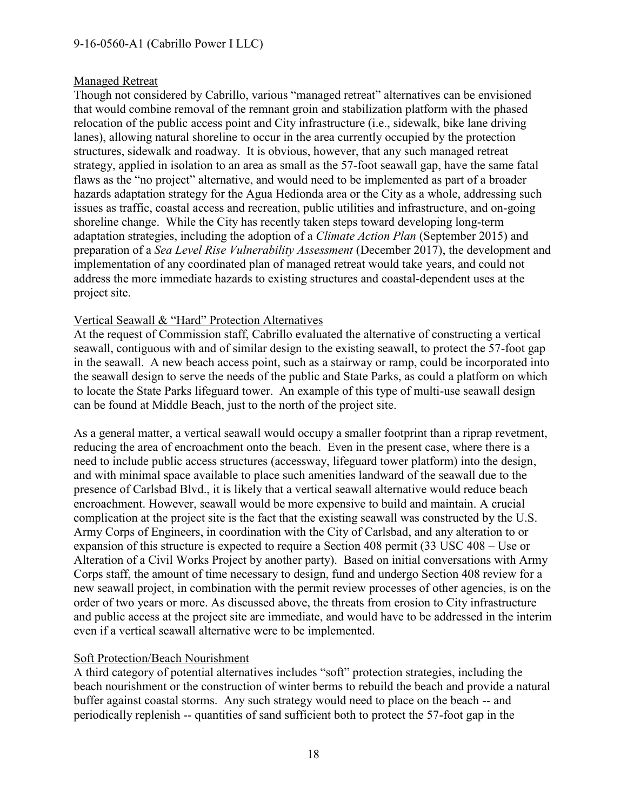#### Managed Retreat

Though not considered by Cabrillo, various "managed retreat" alternatives can be envisioned that would combine removal of the remnant groin and stabilization platform with the phased relocation of the public access point and City infrastructure (i.e., sidewalk, bike lane driving lanes), allowing natural shoreline to occur in the area currently occupied by the protection structures, sidewalk and roadway. It is obvious, however, that any such managed retreat strategy, applied in isolation to an area as small as the 57-foot seawall gap, have the same fatal flaws as the "no project" alternative, and would need to be implemented as part of a broader hazards adaptation strategy for the Agua Hedionda area or the City as a whole, addressing such issues as traffic, coastal access and recreation, public utilities and infrastructure, and on-going shoreline change. While the City has recently taken steps toward developing long-term adaptation strategies, including the adoption of a *Climate Action Plan* (September 2015) and preparation of a *Sea Level Rise Vulnerability Assessment* (December 2017), the development and implementation of any coordinated plan of managed retreat would take years, and could not address the more immediate hazards to existing structures and coastal-dependent uses at the project site.

#### Vertical Seawall & "Hard" Protection Alternatives

At the request of Commission staff, Cabrillo evaluated the alternative of constructing a vertical seawall, contiguous with and of similar design to the existing seawall, to protect the 57-foot gap in the seawall. A new beach access point, such as a stairway or ramp, could be incorporated into the seawall design to serve the needs of the public and State Parks, as could a platform on which to locate the State Parks lifeguard tower. An example of this type of multi-use seawall design can be found at Middle Beach, just to the north of the project site.

As a general matter, a vertical seawall would occupy a smaller footprint than a riprap revetment, reducing the area of encroachment onto the beach. Even in the present case, where there is a need to include public access structures (accessway, lifeguard tower platform) into the design, and with minimal space available to place such amenities landward of the seawall due to the presence of Carlsbad Blvd., it is likely that a vertical seawall alternative would reduce beach encroachment. However, seawall would be more expensive to build and maintain. A crucial complication at the project site is the fact that the existing seawall was constructed by the U.S. Army Corps of Engineers, in coordination with the City of Carlsbad, and any alteration to or expansion of this structure is expected to require a Section 408 permit (33 USC 408 – Use or Alteration of a Civil Works Project by another party). Based on initial conversations with Army Corps staff, the amount of time necessary to design, fund and undergo Section 408 review for a new seawall project, in combination with the permit review processes of other agencies, is on the order of two years or more. As discussed above, the threats from erosion to City infrastructure and public access at the project site are immediate, and would have to be addressed in the interim even if a vertical seawall alternative were to be implemented.

#### Soft Protection/Beach Nourishment

A third category of potential alternatives includes "soft" protection strategies, including the beach nourishment or the construction of winter berms to rebuild the beach and provide a natural buffer against coastal storms. Any such strategy would need to place on the beach -- and periodically replenish -- quantities of sand sufficient both to protect the 57-foot gap in the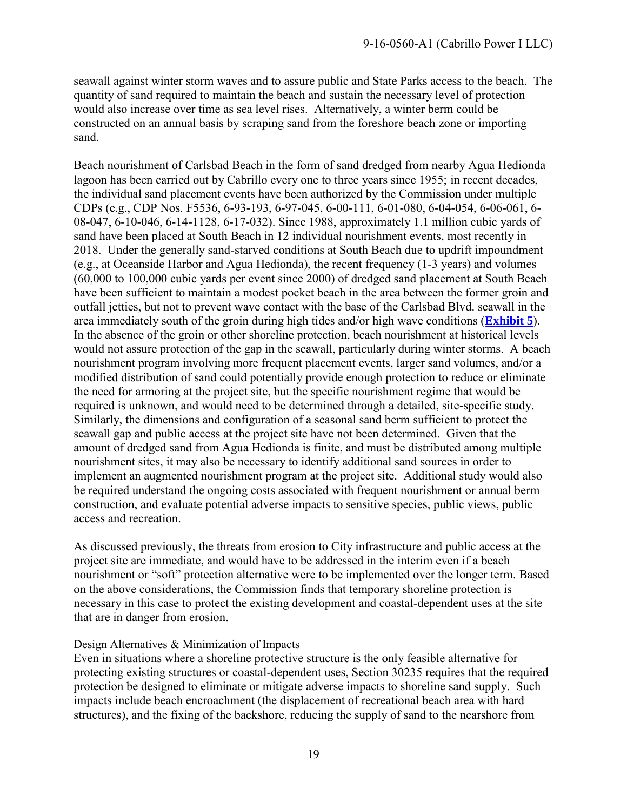seawall against winter storm waves and to assure public and State Parks access to the beach. The quantity of sand required to maintain the beach and sustain the necessary level of protection would also increase over time as sea level rises. Alternatively, a winter berm could be constructed on an annual basis by scraping sand from the foreshore beach zone or importing sand.

Beach nourishment of Carlsbad Beach in the form of sand dredged from nearby Agua Hedionda lagoon has been carried out by Cabrillo every one to three years since 1955; in recent decades, the individual sand placement events have been authorized by the Commission under multiple CDPs (e.g., CDP Nos. F5536, 6-93-193, 6-97-045, 6-00-111, 6-01-080, 6-04-054, 6-06-061, 6- 08-047, 6-10-046, 6-14-1128, 6-17-032). Since 1988, approximately 1.1 million cubic yards of sand have been placed at South Beach in 12 individual nourishment events, most recently in 2018. Under the generally sand-starved conditions at South Beach due to updrift impoundment (e.g., at Oceanside Harbor and Agua Hedionda), the recent frequency (1-3 years) and volumes (60,000 to 100,000 cubic yards per event since 2000) of dredged sand placement at South Beach have been sufficient to maintain a modest pocket beach in the area between the former groin and outfall jetties, but not to prevent wave contact with the base of the Carlsbad Blvd. seawall in the area immediately south of the groin during high tides and/or high wave conditions (**[Exhibit 5](https://documents.coastal.ca.gov/reports/2019/6/w20.1a/w20.1a-6-2019-exhibits.pdf)**). In the absence of the groin or other shoreline protection, beach nourishment at historical levels would not assure protection of the gap in the seawall, particularly during winter storms. A beach nourishment program involving more frequent placement events, larger sand volumes, and/or a modified distribution of sand could potentially provide enough protection to reduce or eliminate the need for armoring at the project site, but the specific nourishment regime that would be required is unknown, and would need to be determined through a detailed, site-specific study. Similarly, the dimensions and configuration of a seasonal sand berm sufficient to protect the seawall gap and public access at the project site have not been determined. Given that the amount of dredged sand from Agua Hedionda is finite, and must be distributed among multiple nourishment sites, it may also be necessary to identify additional sand sources in order to implement an augmented nourishment program at the project site. Additional study would also be required understand the ongoing costs associated with frequent nourishment or annual berm construction, and evaluate potential adverse impacts to sensitive species, public views, public access and recreation.

As discussed previously, the threats from erosion to City infrastructure and public access at the project site are immediate, and would have to be addressed in the interim even if a beach nourishment or "soft" protection alternative were to be implemented over the longer term. Based on the above considerations, the Commission finds that temporary shoreline protection is necessary in this case to protect the existing development and coastal-dependent uses at the site that are in danger from erosion.

#### Design Alternatives & Minimization of Impacts

Even in situations where a shoreline protective structure is the only feasible alternative for protecting existing structures or coastal-dependent uses, Section 30235 requires that the required protection be designed to eliminate or mitigate adverse impacts to shoreline sand supply. Such impacts include beach encroachment (the displacement of recreational beach area with hard structures), and the fixing of the backshore, reducing the supply of sand to the nearshore from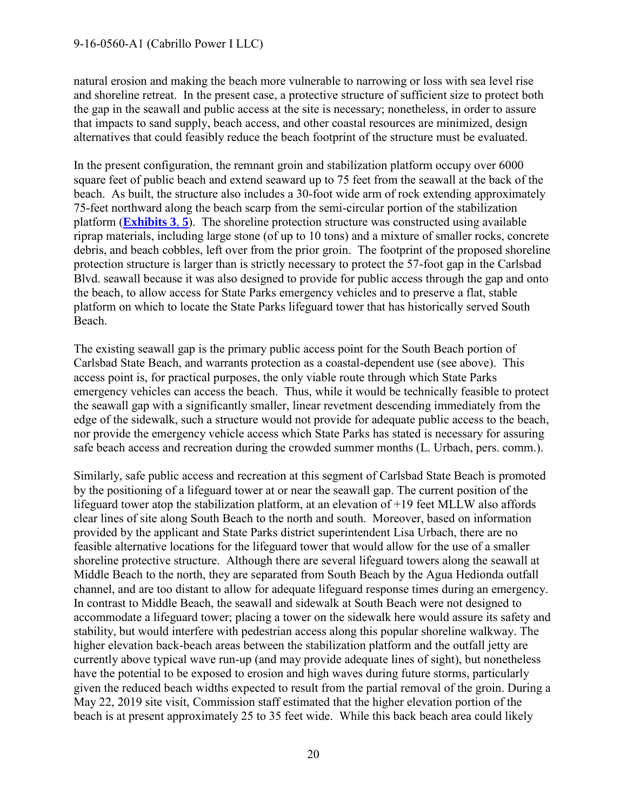natural erosion and making the beach more vulnerable to narrowing or loss with sea level rise and shoreline retreat. In the present case, a protective structure of sufficient size to protect both the gap in the seawall and public access at the site is necessary; nonetheless, in order to assure that impacts to sand supply, beach access, and other coastal resources are minimized, design alternatives that could feasibly reduce the beach footprint of the structure must be evaluated.

In the present configuration, the remnant groin and stabilization platform occupy over 6000 square feet of public beach and extend seaward up to 75 feet from the seawall at the back of the beach. As built, the structure also includes a 30-foot wide arm of rock extending approximately 75-feet northward along the beach scarp from the semi-circular portion of the stabilization platform (**[Exhibits](https://documents.coastal.ca.gov/reports/2019/6/w20.1a/w20.1a-6-2019-exhibits.pdf) 3**, **5**). The shoreline protection structure was constructed using available riprap materials, including large stone (of up to 10 tons) and a mixture of smaller rocks, concrete debris, and beach cobbles, left over from the prior groin. The footprint of the proposed shoreline protection structure is larger than is strictly necessary to protect the 57-foot gap in the Carlsbad Blvd. seawall because it was also designed to provide for public access through the gap and onto the beach, to allow access for State Parks emergency vehicles and to preserve a flat, stable platform on which to locate the State Parks lifeguard tower that has historically served South Beach.

The existing seawall gap is the primary public access point for the South Beach portion of Carlsbad State Beach, and warrants protection as a coastal-dependent use (see above). This access point is, for practical purposes, the only viable route through which State Parks emergency vehicles can access the beach. Thus, while it would be technically feasible to protect the seawall gap with a significantly smaller, linear revetment descending immediately from the edge of the sidewalk, such a structure would not provide for adequate public access to the beach, nor provide the emergency vehicle access which State Parks has stated is necessary for assuring safe beach access and recreation during the crowded summer months (L. Urbach, pers. comm.).

Similarly, safe public access and recreation at this segment of Carlsbad State Beach is promoted by the positioning of a lifeguard tower at or near the seawall gap. The current position of the lifeguard tower atop the stabilization platform, at an elevation of +19 feet MLLW also affords clear lines of site along South Beach to the north and south. Moreover, based on information provided by the applicant and State Parks district superintendent Lisa Urbach, there are no feasible alternative locations for the lifeguard tower that would allow for the use of a smaller shoreline protective structure. Although there are several lifeguard towers along the seawall at Middle Beach to the north, they are separated from South Beach by the Agua Hedionda outfall channel, and are too distant to allow for adequate lifeguard response times during an emergency. In contrast to Middle Beach, the seawall and sidewalk at South Beach were not designed to accommodate a lifeguard tower; placing a tower on the sidewalk here would assure its safety and stability, but would interfere with pedestrian access along this popular shoreline walkway. The higher elevation back-beach areas between the stabilization platform and the outfall jetty are currently above typical wave run-up (and may provide adequate lines of sight), but nonetheless have the potential to be exposed to erosion and high waves during future storms, particularly given the reduced beach widths expected to result from the partial removal of the groin. During a May 22, 2019 site visit, Commission staff estimated that the higher elevation portion of the beach is at present approximately 25 to 35 feet wide. While this back beach area could likely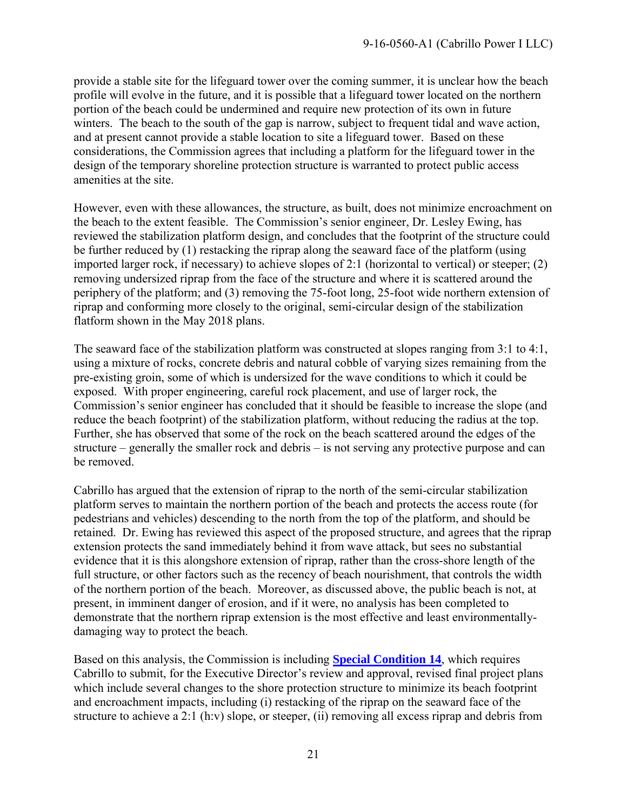provide a stable site for the lifeguard tower over the coming summer, it is unclear how the beach profile will evolve in the future, and it is possible that a lifeguard tower located on the northern portion of the beach could be undermined and require new protection of its own in future winters. The beach to the south of the gap is narrow, subject to frequent tidal and wave action, and at present cannot provide a stable location to site a lifeguard tower. Based on these considerations, the Commission agrees that including a platform for the lifeguard tower in the design of the temporary shoreline protection structure is warranted to protect public access amenities at the site.

However, even with these allowances, the structure, as built, does not minimize encroachment on the beach to the extent feasible. The Commission's senior engineer, Dr. Lesley Ewing, has reviewed the stabilization platform design, and concludes that the footprint of the structure could be further reduced by (1) restacking the riprap along the seaward face of the platform (using imported larger rock, if necessary) to achieve slopes of 2:1 (horizontal to vertical) or steeper; (2) removing undersized riprap from the face of the structure and where it is scattered around the periphery of the platform; and (3) removing the 75-foot long, 25-foot wide northern extension of riprap and conforming more closely to the original, semi-circular design of the stabilization flatform shown in the May 2018 plans.

The seaward face of the stabilization platform was constructed at slopes ranging from 3:1 to 4:1, using a mixture of rocks, concrete debris and natural cobble of varying sizes remaining from the pre-existing groin, some of which is undersized for the wave conditions to which it could be exposed. With proper engineering, careful rock placement, and use of larger rock, the Commission's senior engineer has concluded that it should be feasible to increase the slope (and reduce the beach footprint) of the stabilization platform, without reducing the radius at the top. Further, she has observed that some of the rock on the beach scattered around the edges of the structure – generally the smaller rock and debris – is not serving any protective purpose and can be removed.

Cabrillo has argued that the extension of riprap to the north of the semi-circular stabilization platform serves to maintain the northern portion of the beach and protects the access route (for pedestrians and vehicles) descending to the north from the top of the platform, and should be retained. Dr. Ewing has reviewed this aspect of the proposed structure, and agrees that the riprap extension protects the sand immediately behind it from wave attack, but sees no substantial evidence that it is this alongshore extension of riprap, rather than the cross-shore length of the full structure, or other factors such as the recency of beach nourishment, that controls the width of the northern portion of the beach. Moreover, as discussed above, the public beach is not, at present, in imminent danger of erosion, and if it were, no analysis has been completed to demonstrate that the northern riprap extension is the most effective and least environmentallydamaging way to protect the beach.

Based on this analysis, the Commission is including **[Special Condition 14](#page-5-0)**, which requires Cabrillo to submit, for the Executive Director's review and approval, revised final project plans which include several changes to the shore protection structure to minimize its beach footprint and encroachment impacts, including (i) restacking of the riprap on the seaward face of the structure to achieve a 2:1 (h:v) slope, or steeper, (ii) removing all excess riprap and debris from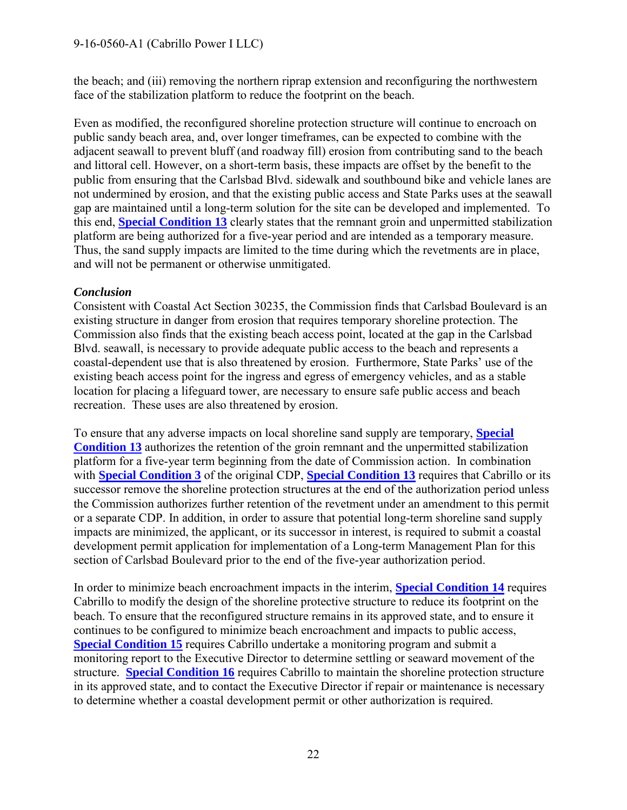the beach; and (iii) removing the northern riprap extension and reconfiguring the northwestern face of the stabilization platform to reduce the footprint on the beach.

Even as modified, the reconfigured shoreline protection structure will continue to encroach on public sandy beach area, and, over longer timeframes, can be expected to combine with the adjacent seawall to prevent bluff (and roadway fill) erosion from contributing sand to the beach and littoral cell. However, on a short-term basis, these impacts are offset by the benefit to the public from ensuring that the Carlsbad Blvd. sidewalk and southbound bike and vehicle lanes are not undermined by erosion, and that the existing public access and State Parks uses at the seawall gap are maintained until a long-term solution for the site can be developed and implemented. To this end, **[Special Condition 13](#page-3-0)** clearly states that the remnant groin and unpermitted stabilization platform are being authorized for a five-year period and are intended as a temporary measure. Thus, the sand supply impacts are limited to the time during which the revetments are in place, and will not be permanent or otherwise unmitigated.

#### *Conclusion*

Consistent with Coastal Act Section 30235, the Commission finds that Carlsbad Boulevard is an existing structure in danger from erosion that requires temporary shoreline protection. The Commission also finds that the existing beach access point, located at the gap in the Carlsbad Blvd. seawall, is necessary to provide adequate public access to the beach and represents a coastal-dependent use that is also threatened by erosion. Furthermore, State Parks' use of the existing beach access point for the ingress and egress of emergency vehicles, and as a stable location for placing a lifeguard tower, are necessary to ensure safe public access and beach recreation. These uses are also threatened by erosion.

To ensure that any adverse impacts on local shoreline sand supply are temporary, **[Special](#page-3-0)  [Condition 13](#page-3-0)** authorizes the retention of the groin remnant and the unpermitted stabilization platform for a five-year term beginning from the date of Commission action. In combination with **[Special Condition 3](#page-3-3)** of the original CDP, **[Special Condition 13](#page-3-0)** requires that Cabrillo or its successor remove the shoreline protection structures at the end of the authorization period unless the Commission authorizes further retention of the revetment under an amendment to this permit or a separate CDP. In addition, in order to assure that potential long-term shoreline sand supply impacts are minimized, the applicant, or its successor in interest, is required to submit a coastal development permit application for implementation of a Long-term Management Plan for this section of Carlsbad Boulevard prior to the end of the five-year authorization period.

In order to minimize beach encroachment impacts in the interim, **[Special Condition 14](#page-5-0)** requires Cabrillo to modify the design of the shoreline protective structure to reduce its footprint on the beach. To ensure that the reconfigured structure remains in its approved state, and to ensure it continues to be configured to minimize beach encroachment and impacts to public access, **[Special Condition 15](#page-6-0)** requires Cabrillo undertake a monitoring program and submit a monitoring report to the Executive Director to determine settling or seaward movement of the structure. **[Special Condition 16](#page-7-0)** requires Cabrillo to maintain the shoreline protection structure in its approved state, and to contact the Executive Director if repair or maintenance is necessary to determine whether a coastal development permit or other authorization is required.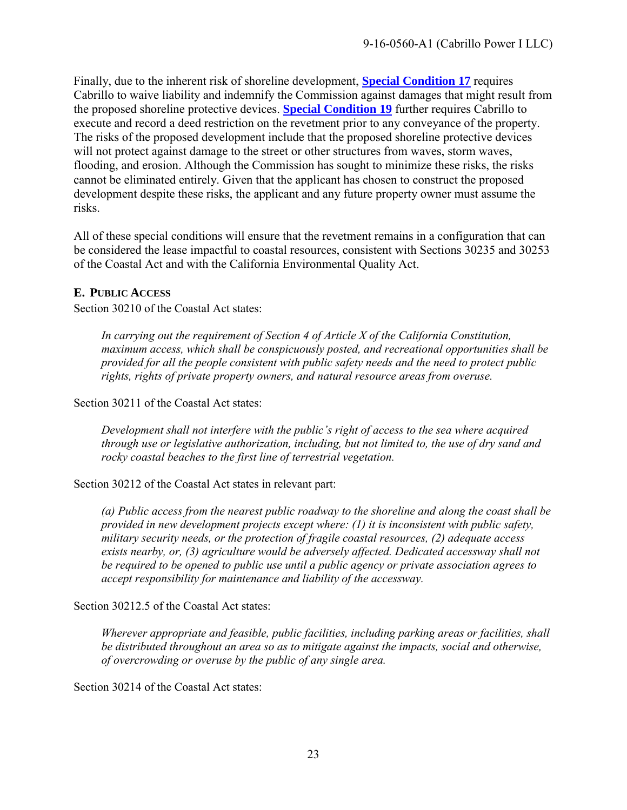Finally, due to the inherent risk of shoreline development, **[Special Condition 17](#page-7-1)** requires Cabrillo to waive liability and indemnify the Commission against damages that might result from the proposed shoreline protective devices. **[Special Condition](#page-8-2) 19** further requires Cabrillo to execute and record a deed restriction on the revetment prior to any conveyance of the property. The risks of the proposed development include that the proposed shoreline protective devices will not protect against damage to the street or other structures from waves, storm waves, flooding, and erosion. Although the Commission has sought to minimize these risks, the risks cannot be eliminated entirely. Given that the applicant has chosen to construct the proposed development despite these risks, the applicant and any future property owner must assume the risks.

All of these special conditions will ensure that the revetment remains in a configuration that can be considered the lease impactful to coastal resources, consistent with Sections 30235 and 30253 of the Coastal Act and with the California Environmental Quality Act.

#### <span id="page-22-0"></span>**E. PUBLIC ACCESS**

Section 30210 of the Coastal Act states:

*In carrying out the requirement of Section 4 of Article X of the California Constitution, maximum access, which shall be conspicuously posted, and recreational opportunities shall be provided for all the people consistent with public safety needs and the need to protect public rights, rights of private property owners, and natural resource areas from overuse.* 

Section 30211 of the Coastal Act states:

*Development shall not interfere with the public's right of access to the sea where acquired through use or legislative authorization, including, but not limited to, the use of dry sand and rocky coastal beaches to the first line of terrestrial vegetation.* 

Section 30212 of the Coastal Act states in relevant part:

*(a) Public access from the nearest public roadway to the shoreline and along the coast shall be provided in new development projects except where: (1) it is inconsistent with public safety, military security needs, or the protection of fragile coastal resources, (2) adequate access exists nearby, or, (3) agriculture would be adversely affected. Dedicated accessway shall not be required to be opened to public use until a public agency or private association agrees to accept responsibility for maintenance and liability of the accessway.* 

Section 30212.5 of the Coastal Act states:

*Wherever appropriate and feasible, public facilities, including parking areas or facilities, shall be distributed throughout an area so as to mitigate against the impacts, social and otherwise, of overcrowding or overuse by the public of any single area.* 

Section 30214 of the Coastal Act states: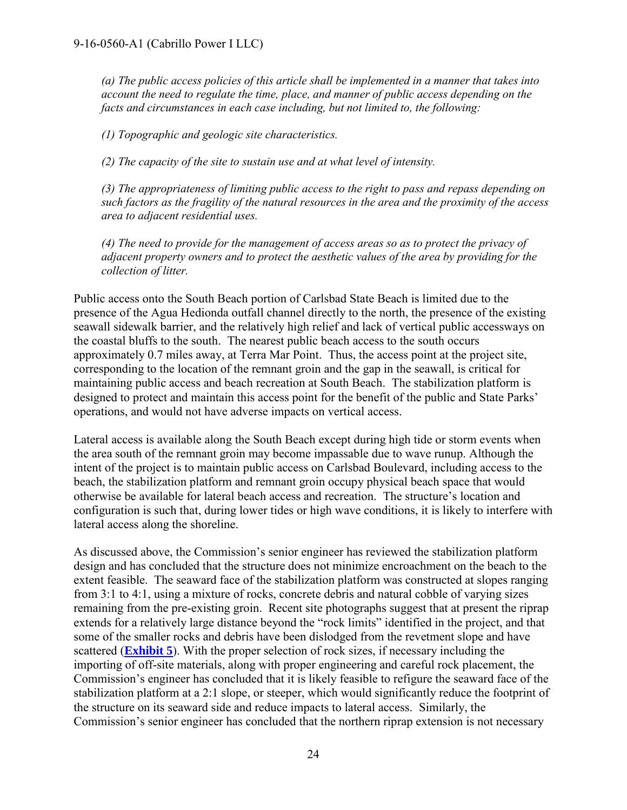*(a) The public access policies of this article shall be implemented in a manner that takes into account the need to regulate the time, place, and manner of public access depending on the facts and circumstances in each case including, but not limited to, the following:* 

*(1) Topographic and geologic site characteristics.* 

*(2) The capacity of the site to sustain use and at what level of intensity.* 

*(3) The appropriateness of limiting public access to the right to pass and repass depending on such factors as the fragility of the natural resources in the area and the proximity of the access area to adjacent residential uses.*

*(4) The need to provide for the management of access areas so as to protect the privacy of adjacent property owners and to protect the aesthetic values of the area by providing for the collection of litter.* 

Public access onto the South Beach portion of Carlsbad State Beach is limited due to the presence of the Agua Hedionda outfall channel directly to the north, the presence of the existing seawall sidewalk barrier, and the relatively high relief and lack of vertical public accessways on the coastal bluffs to the south. The nearest public beach access to the south occurs approximately 0.7 miles away, at Terra Mar Point. Thus, the access point at the project site, corresponding to the location of the remnant groin and the gap in the seawall, is critical for maintaining public access and beach recreation at South Beach. The stabilization platform is designed to protect and maintain this access point for the benefit of the public and State Parks' operations, and would not have adverse impacts on vertical access.

Lateral access is available along the South Beach except during high tide or storm events when the area south of the remnant groin may become impassable due to wave runup. Although the intent of the project is to maintain public access on Carlsbad Boulevard, including access to the beach, the stabilization platform and remnant groin occupy physical beach space that would otherwise be available for lateral beach access and recreation. The structure's location and configuration is such that, during lower tides or high wave conditions, it is likely to interfere with lateral access along the shoreline.

As discussed above, the Commission's senior engineer has reviewed the stabilization platform design and has concluded that the structure does not minimize encroachment on the beach to the extent feasible. The seaward face of the stabilization platform was constructed at slopes ranging from 3:1 to 4:1, using a mixture of rocks, concrete debris and natural cobble of varying sizes remaining from the pre-existing groin. Recent site photographs suggest that at present the riprap extends for a relatively large distance beyond the "rock limits" identified in the project, and that some of the smaller rocks and debris have been dislodged from the revetment slope and have scattered (**[Exhibit 5](https://documents.coastal.ca.gov/reports/2019/6/w20.1a/w20.1a-6-2019-exhibits.pdf)**). With the proper selection of rock sizes, if necessary including the importing of off-site materials, along with proper engineering and careful rock placement, the Commission's engineer has concluded that it is likely feasible to refigure the seaward face of the stabilization platform at a 2:1 slope, or steeper, which would significantly reduce the footprint of the structure on its seaward side and reduce impacts to lateral access. Similarly, the Commission's senior engineer has concluded that the northern riprap extension is not necessary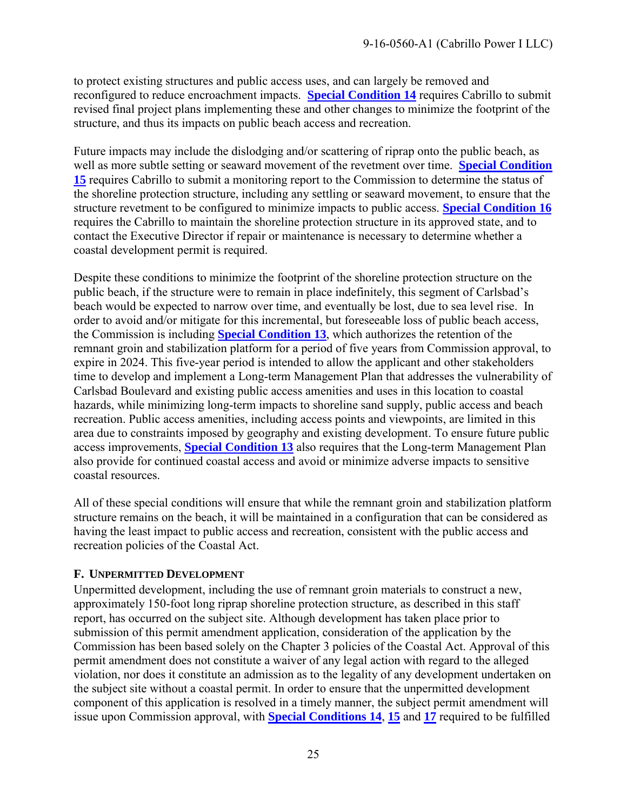to protect existing structures and public access uses, and can largely be removed and reconfigured to reduce encroachment impacts. **[Special Condition 14](#page-5-0)** requires Cabrillo to submit revised final project plans implementing these and other changes to minimize the footprint of the structure, and thus its impacts on public beach access and recreation.

Future impacts may include the dislodging and/or scattering of riprap onto the public beach, as well as more subtle setting or seaward movement of the revetment over time. **[Special Condition](#page-6-0)  [15](#page-6-0)** requires Cabrillo to submit a monitoring report to the Commission to determine the status of the shoreline protection structure, including any settling or seaward movement, to ensure that the structure revetment to be configured to minimize impacts to public access. **[Special Condition 16](#page-7-0)** requires the Cabrillo to maintain the shoreline protection structure in its approved state, and to contact the Executive Director if repair or maintenance is necessary to determine whether a coastal development permit is required.

Despite these conditions to minimize the footprint of the shoreline protection structure on the public beach, if the structure were to remain in place indefinitely, this segment of Carlsbad's beach would be expected to narrow over time, and eventually be lost, due to sea level rise. In order to avoid and/or mitigate for this incremental, but foreseeable loss of public beach access, the Commission is including **[Special Condition 13](#page-3-0)**, which authorizes the retention of the remnant groin and stabilization platform for a period of five years from Commission approval, to expire in 2024. This five-year period is intended to allow the applicant and other stakeholders time to develop and implement a Long-term Management Plan that addresses the vulnerability of Carlsbad Boulevard and existing public access amenities and uses in this location to coastal hazards, while minimizing long-term impacts to shoreline sand supply, public access and beach recreation. Public access amenities, including access points and viewpoints, are limited in this area due to constraints imposed by geography and existing development. To ensure future public access improvements, **[Special Condition 13](#page-3-0)** also requires that the Long-term Management Plan also provide for continued coastal access and avoid or minimize adverse impacts to sensitive coastal resources.

All of these special conditions will ensure that while the remnant groin and stabilization platform structure remains on the beach, it will be maintained in a configuration that can be considered as having the least impact to public access and recreation, consistent with the public access and recreation policies of the Coastal Act.

#### <span id="page-24-0"></span>**F. UNPERMITTED DEVELOPMENT**

Unpermitted development, including the use of remnant groin materials to construct a new, approximately 150-foot long riprap shoreline protection structure, as described in this staff report, has occurred on the subject site. Although development has taken place prior to submission of this permit amendment application, consideration of the application by the Commission has been based solely on the Chapter 3 policies of the Coastal Act. Approval of this permit amendment does not constitute a waiver of any legal action with regard to the alleged violation, nor does it constitute an admission as to the legality of any development undertaken on the subject site without a coastal permit. In order to ensure that the unpermitted development component of this application is resolved in a timely manner, the subject permit amendment will issue upon Commission approval, with **[Special Conditions 14](#page-5-0)**, **[15](#page-6-0)** and **[17](#page-7-1)** required to be fulfilled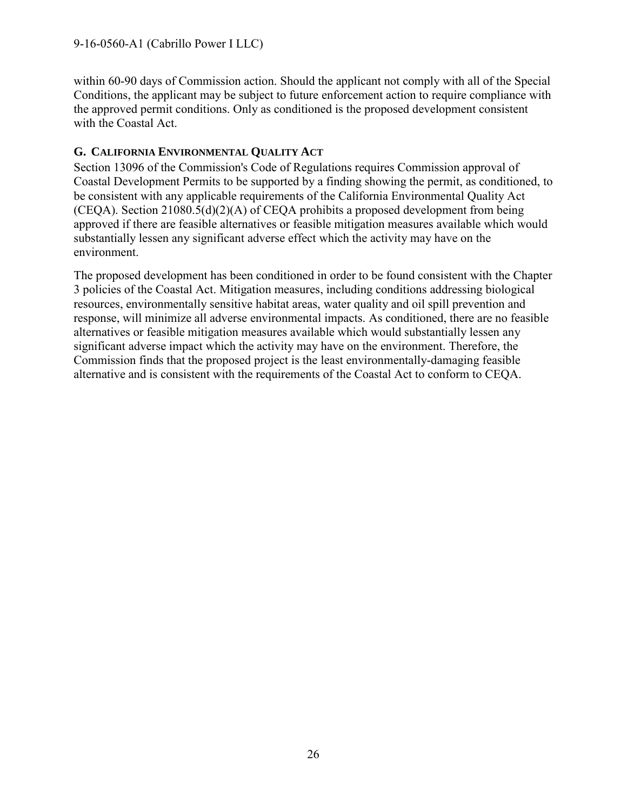within 60-90 days of Commission action. Should the applicant not comply with all of the Special Conditions, the applicant may be subject to future enforcement action to require compliance with the approved permit conditions. Only as conditioned is the proposed development consistent with the Coastal Act.

#### <span id="page-25-0"></span>**G. CALIFORNIA ENVIRONMENTAL QUALITY ACT**

Section 13096 of the Commission's Code of Regulations requires Commission approval of Coastal Development Permits to be supported by a finding showing the permit, as conditioned, to be consistent with any applicable requirements of the California Environmental Quality Act (CEQA). Section 21080.5(d)(2)(A) of CEQA prohibits a proposed development from being approved if there are feasible alternatives or feasible mitigation measures available which would substantially lessen any significant adverse effect which the activity may have on the environment.

The proposed development has been conditioned in order to be found consistent with the Chapter 3 policies of the Coastal Act. Mitigation measures, including conditions addressing biological resources, environmentally sensitive habitat areas, water quality and oil spill prevention and response, will minimize all adverse environmental impacts. As conditioned, there are no feasible alternatives or feasible mitigation measures available which would substantially lessen any significant adverse impact which the activity may have on the environment. Therefore, the Commission finds that the proposed project is the least environmentally-damaging feasible alternative and is consistent with the requirements of the Coastal Act to conform to CEQA.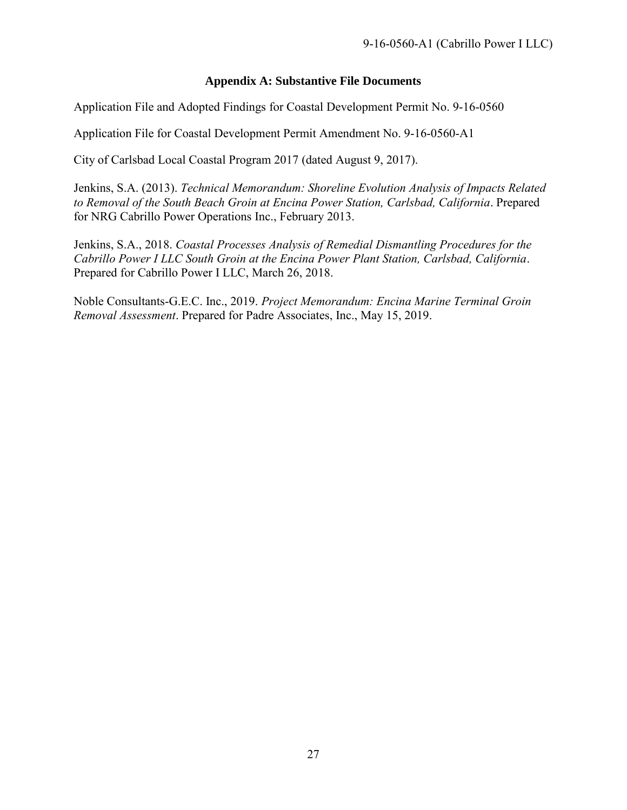#### **Appendix A: Substantive File Documents**

<span id="page-26-0"></span>Application File and Adopted Findings for Coastal Development Permit No. 9-16-0560

Application File for Coastal Development Permit Amendment No. 9-16-0560-A1

City of Carlsbad Local Coastal Program 2017 (dated August 9, 2017).

Jenkins, S.A. (2013). *Technical Memorandum: Shoreline Evolution Analysis of Impacts Related to Removal of the South Beach Groin at Encina Power Station, Carlsbad, California*. Prepared for NRG Cabrillo Power Operations Inc., February 2013.

Jenkins, S.A., 2018. *Coastal Processes Analysis of Remedial Dismantling Procedures for the Cabrillo Power I LLC South Groin at the Encina Power Plant Station, Carlsbad, California*. Prepared for Cabrillo Power I LLC, March 26, 2018.

Noble Consultants-G.E.C. Inc., 2019. *Project Memorandum: Encina Marine Terminal Groin Removal Assessment*. Prepared for Padre Associates, Inc., May 15, 2019.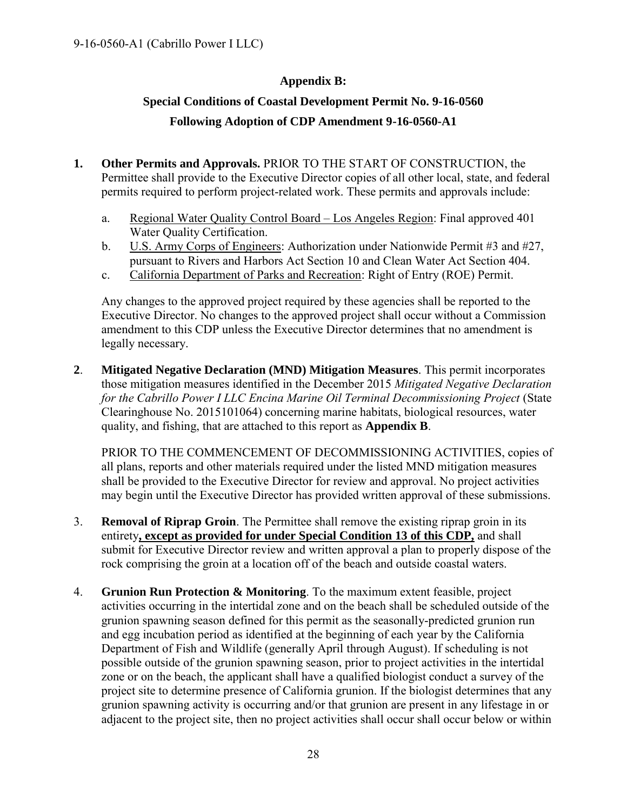#### **Appendix B:**

## <span id="page-27-0"></span>**Special Conditions of Coastal Development Permit No. 9-16-0560 Following Adoption of CDP Amendment 9-16-0560-A1**

- **1. Other Permits and Approvals.** PRIOR TO THE START OF CONSTRUCTION, the Permittee shall provide to the Executive Director copies of all other local, state, and federal permits required to perform project-related work. These permits and approvals include:
	- a. Regional Water Quality Control Board Los Angeles Region: Final approved 401 Water Quality Certification.
	- b. U.S. Army Corps of Engineers: Authorization under Nationwide Permit #3 and #27, pursuant to Rivers and Harbors Act Section 10 and Clean Water Act Section 404.
	- c. California Department of Parks and Recreation: Right of Entry (ROE) Permit.

Any changes to the approved project required by these agencies shall be reported to the Executive Director. No changes to the approved project shall occur without a Commission amendment to this CDP unless the Executive Director determines that no amendment is legally necessary.

**2**. **Mitigated Negative Declaration (MND) Mitigation Measures**. This permit incorporates those mitigation measures identified in the December 2015 *Mitigated Negative Declaration for the Cabrillo Power I LLC Encina Marine Oil Terminal Decommissioning Project* (State Clearinghouse No. 2015101064) concerning marine habitats, biological resources, water quality, and fishing, that are attached to this report as **Appendix B**.

PRIOR TO THE COMMENCEMENT OF DECOMMISSIONING ACTIVITIES, copies of all plans, reports and other materials required under the listed MND mitigation measures shall be provided to the Executive Director for review and approval. No project activities may begin until the Executive Director has provided written approval of these submissions.

- 3. **Removal of Riprap Groin**. The Permittee shall remove the existing riprap groin in its entirety**, except as provided for under Special Condition 13 of this CDP,** and shall submit for Executive Director review and written approval a plan to properly dispose of the rock comprising the groin at a location off of the beach and outside coastal waters.
- 4. **Grunion Run Protection & Monitoring**. To the maximum extent feasible, project activities occurring in the intertidal zone and on the beach shall be scheduled outside of the grunion spawning season defined for this permit as the seasonally-predicted grunion run and egg incubation period as identified at the beginning of each year by the California Department of Fish and Wildlife (generally April through August). If scheduling is not possible outside of the grunion spawning season, prior to project activities in the intertidal zone or on the beach, the applicant shall have a qualified biologist conduct a survey of the project site to determine presence of California grunion. If the biologist determines that any grunion spawning activity is occurring and/or that grunion are present in any lifestage in or adjacent to the project site, then no project activities shall occur shall occur below or within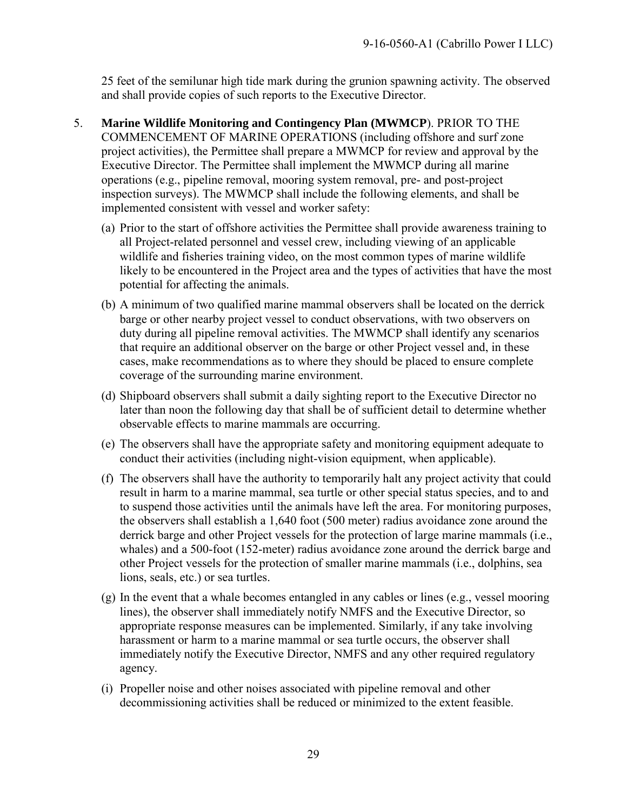25 feet of the semilunar high tide mark during the grunion spawning activity. The observed and shall provide copies of such reports to the Executive Director.

- 5. **Marine Wildlife Monitoring and Contingency Plan (MWMCP**). PRIOR TO THE COMMENCEMENT OF MARINE OPERATIONS (including offshore and surf zone project activities), the Permittee shall prepare a MWMCP for review and approval by the Executive Director. The Permittee shall implement the MWMCP during all marine operations (e.g., pipeline removal, mooring system removal, pre- and post-project inspection surveys). The MWMCP shall include the following elements, and shall be implemented consistent with vessel and worker safety:
	- (a) Prior to the start of offshore activities the Permittee shall provide awareness training to all Project-related personnel and vessel crew, including viewing of an applicable wildlife and fisheries training video, on the most common types of marine wildlife likely to be encountered in the Project area and the types of activities that have the most potential for affecting the animals.
	- (b) A minimum of two qualified marine mammal observers shall be located on the derrick barge or other nearby project vessel to conduct observations, with two observers on duty during all pipeline removal activities. The MWMCP shall identify any scenarios that require an additional observer on the barge or other Project vessel and, in these cases, make recommendations as to where they should be placed to ensure complete coverage of the surrounding marine environment.
	- (d) Shipboard observers shall submit a daily sighting report to the Executive Director no later than noon the following day that shall be of sufficient detail to determine whether observable effects to marine mammals are occurring.
	- (e) The observers shall have the appropriate safety and monitoring equipment adequate to conduct their activities (including night-vision equipment, when applicable).
	- (f) The observers shall have the authority to temporarily halt any project activity that could result in harm to a marine mammal, sea turtle or other special status species, and to and to suspend those activities until the animals have left the area. For monitoring purposes, the observers shall establish a 1,640 foot (500 meter) radius avoidance zone around the derrick barge and other Project vessels for the protection of large marine mammals (i.e., whales) and a 500-foot (152-meter) radius avoidance zone around the derrick barge and other Project vessels for the protection of smaller marine mammals (i.e., dolphins, sea lions, seals, etc.) or sea turtles.
	- (g) In the event that a whale becomes entangled in any cables or lines (e.g., vessel mooring lines), the observer shall immediately notify NMFS and the Executive Director, so appropriate response measures can be implemented. Similarly, if any take involving harassment or harm to a marine mammal or sea turtle occurs, the observer shall immediately notify the Executive Director, NMFS and any other required regulatory agency.
	- (i) Propeller noise and other noises associated with pipeline removal and other decommissioning activities shall be reduced or minimized to the extent feasible.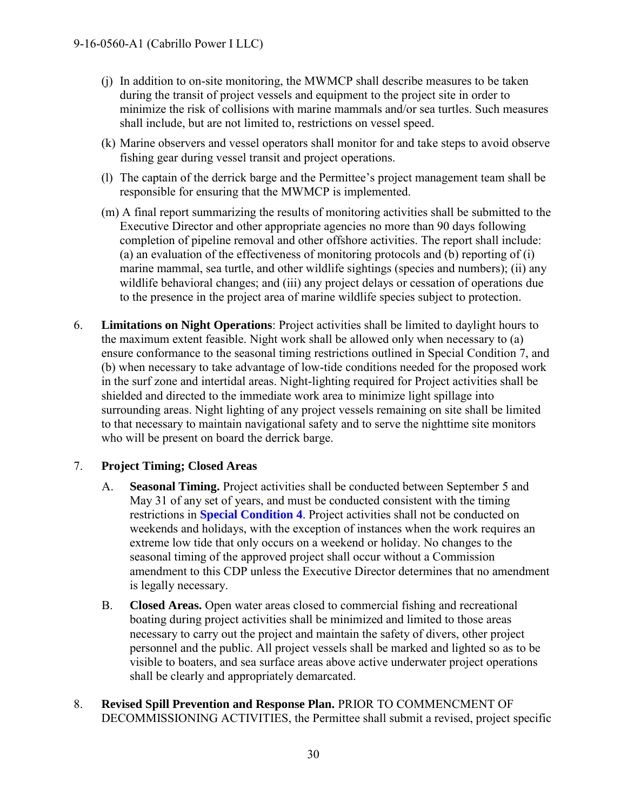- (j) In addition to on-site monitoring, the MWMCP shall describe measures to be taken during the transit of project vessels and equipment to the project site in order to minimize the risk of collisions with marine mammals and/or sea turtles. Such measures shall include, but are not limited to, restrictions on vessel speed.
- (k) Marine observers and vessel operators shall monitor for and take steps to avoid observe fishing gear during vessel transit and project operations.
- (l) The captain of the derrick barge and the Permittee's project management team shall be responsible for ensuring that the MWMCP is implemented.
- (m) A final report summarizing the results of monitoring activities shall be submitted to the Executive Director and other appropriate agencies no more than 90 days following completion of pipeline removal and other offshore activities. The report shall include: (a) an evaluation of the effectiveness of monitoring protocols and (b) reporting of (i) marine mammal, sea turtle, and other wildlife sightings (species and numbers); (ii) any wildlife behavioral changes; and (iii) any project delays or cessation of operations due to the presence in the project area of marine wildlife species subject to protection.
- 6. **Limitations on Night Operations**: Project activities shall be limited to daylight hours to the maximum extent feasible. Night work shall be allowed only when necessary to (a) ensure conformance to the seasonal timing restrictions outlined in Special Condition 7, and (b) when necessary to take advantage of low-tide conditions needed for the proposed work in the surf zone and intertidal areas. Night-lighting required for Project activities shall be shielded and directed to the immediate work area to minimize light spillage into surrounding areas. Night lighting of any project vessels remaining on site shall be limited to that necessary to maintain navigational safety and to serve the nighttime site monitors who will be present on board the derrick barge.

#### 7. **Project Timing; Closed Areas**

- A. **Seasonal Timing.** Project activities shall be conducted between September 5 and May 31 of any set of years, and must be conducted consistent with the timing restrictions in **Special Condition 4**. Project activities shall not be conducted on weekends and holidays, with the exception of instances when the work requires an extreme low tide that only occurs on a weekend or holiday. No changes to the seasonal timing of the approved project shall occur without a Commission amendment to this CDP unless the Executive Director determines that no amendment is legally necessary.
- B. **Closed Areas.** Open water areas closed to commercial fishing and recreational boating during project activities shall be minimized and limited to those areas necessary to carry out the project and maintain the safety of divers, other project personnel and the public. All project vessels shall be marked and lighted so as to be visible to boaters, and sea surface areas above active underwater project operations shall be clearly and appropriately demarcated.
- 8. **Revised Spill Prevention and Response Plan.** PRIOR TO COMMENCMENT OF DECOMMISSIONING ACTIVITIES, the Permittee shall submit a revised, project specific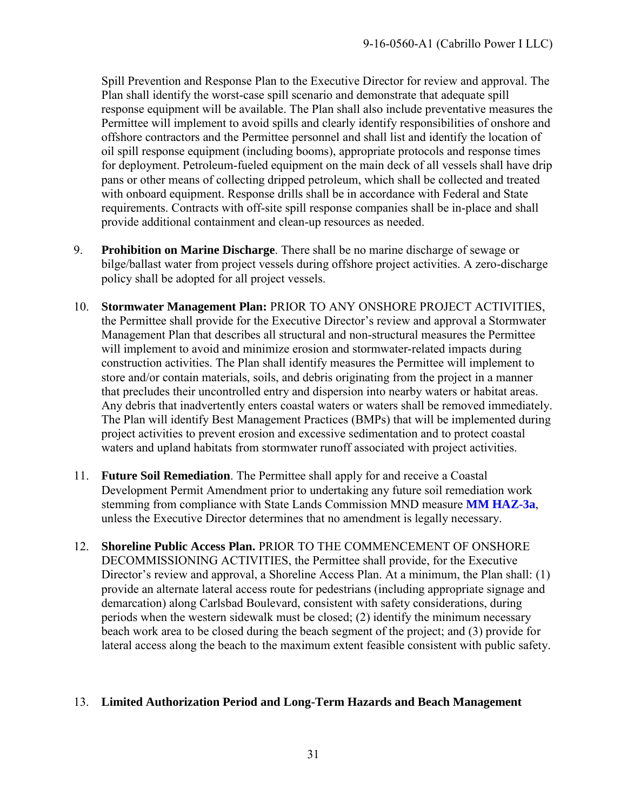Spill Prevention and Response Plan to the Executive Director for review and approval. The Plan shall identify the worst-case spill scenario and demonstrate that adequate spill response equipment will be available. The Plan shall also include preventative measures the Permittee will implement to avoid spills and clearly identify responsibilities of onshore and offshore contractors and the Permittee personnel and shall list and identify the location of oil spill response equipment (including booms), appropriate protocols and response times for deployment. Petroleum-fueled equipment on the main deck of all vessels shall have drip pans or other means of collecting dripped petroleum, which shall be collected and treated with onboard equipment. Response drills shall be in accordance with Federal and State requirements. Contracts with off-site spill response companies shall be in-place and shall provide additional containment and clean-up resources as needed.

- 9. **Prohibition on Marine Discharge**. There shall be no marine discharge of sewage or bilge/ballast water from project vessels during offshore project activities. A zero-discharge policy shall be adopted for all project vessels.
- 10. **Stormwater Management Plan:** PRIOR TO ANY ONSHORE PROJECT ACTIVITIES, the Permittee shall provide for the Executive Director's review and approval a Stormwater Management Plan that describes all structural and non-structural measures the Permittee will implement to avoid and minimize erosion and stormwater-related impacts during construction activities. The Plan shall identify measures the Permittee will implement to store and/or contain materials, soils, and debris originating from the project in a manner that precludes their uncontrolled entry and dispersion into nearby waters or habitat areas. Any debris that inadvertently enters coastal waters or waters shall be removed immediately. The Plan will identify Best Management Practices (BMPs) that will be implemented during project activities to prevent erosion and excessive sedimentation and to protect coastal waters and upland habitats from stormwater runoff associated with project activities.
- 11. **Future Soil Remediation**. The Permittee shall apply for and receive a Coastal Development Permit Amendment prior to undertaking any future soil remediation work stemming from compliance with State Lands Commission MND measure **MM HAZ-3a**, unless the Executive Director determines that no amendment is legally necessary.
- 12. **Shoreline Public Access Plan.** PRIOR TO THE COMMENCEMENT OF ONSHORE DECOMMISSIONING ACTIVITIES, the Permittee shall provide, for the Executive Director's review and approval, a Shoreline Access Plan. At a minimum, the Plan shall: (1) provide an alternate lateral access route for pedestrians (including appropriate signage and demarcation) along Carlsbad Boulevard, consistent with safety considerations, during periods when the western sidewalk must be closed; (2) identify the minimum necessary beach work area to be closed during the beach segment of the project; and (3) provide for lateral access along the beach to the maximum extent feasible consistent with public safety.

#### 13. **Limited Authorization Period and Long-Term Hazards and Beach Management**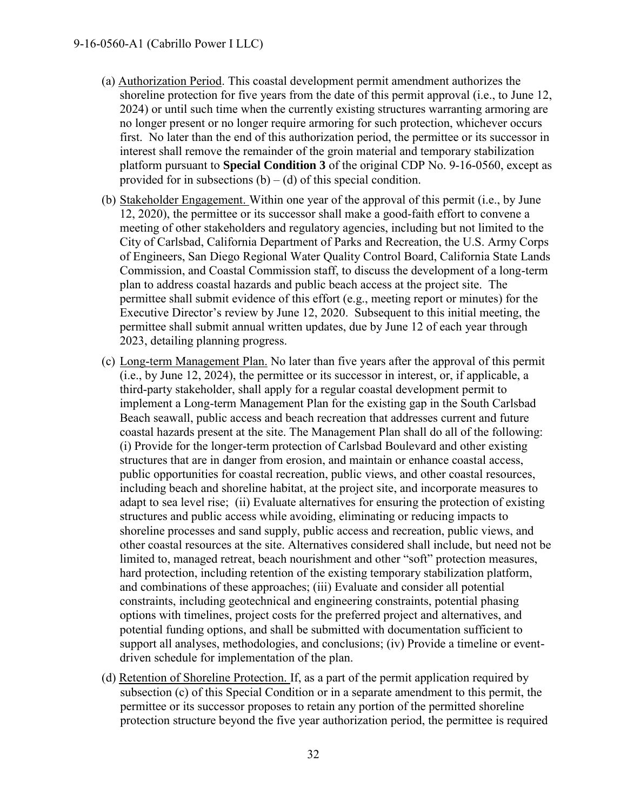- (a) Authorization Period. This coastal development permit amendment authorizes the shoreline protection for five years from the date of this permit approval (i.e., to June 12, 2024) or until such time when the currently existing structures warranting armoring are no longer present or no longer require armoring for such protection, whichever occurs first. No later than the end of this authorization period, the permittee or its successor in interest shall remove the remainder of the groin material and temporary stabilization platform pursuant to **Special Condition 3** of the original CDP No. 9-16-0560, except as provided for in subsections  $(b) - (d)$  of this special condition.
- (b) Stakeholder Engagement. Within one year of the approval of this permit (i.e., by June 12, 2020), the permittee or its successor shall make a good-faith effort to convene a meeting of other stakeholders and regulatory agencies, including but not limited to the City of Carlsbad, California Department of Parks and Recreation, the U.S. Army Corps of Engineers, San Diego Regional Water Quality Control Board, California State Lands Commission, and Coastal Commission staff, to discuss the development of a long-term plan to address coastal hazards and public beach access at the project site. The permittee shall submit evidence of this effort (e.g., meeting report or minutes) for the Executive Director's review by June 12, 2020. Subsequent to this initial meeting, the permittee shall submit annual written updates, due by June 12 of each year through 2023, detailing planning progress.
- (c) Long-term Management Plan. No later than five years after the approval of this permit (i.e., by June 12, 2024), the permittee or its successor in interest, or, if applicable, a third-party stakeholder, shall apply for a regular coastal development permit to implement a Long-term Management Plan for the existing gap in the South Carlsbad Beach seawall, public access and beach recreation that addresses current and future coastal hazards present at the site. The Management Plan shall do all of the following: (i) Provide for the longer-term protection of Carlsbad Boulevard and other existing structures that are in danger from erosion, and maintain or enhance coastal access, public opportunities for coastal recreation, public views, and other coastal resources, including beach and shoreline habitat, at the project site, and incorporate measures to adapt to sea level rise; (ii) Evaluate alternatives for ensuring the protection of existing structures and public access while avoiding, eliminating or reducing impacts to shoreline processes and sand supply, public access and recreation, public views, and other coastal resources at the site. Alternatives considered shall include, but need not be limited to, managed retreat, beach nourishment and other "soft" protection measures, hard protection, including retention of the existing temporary stabilization platform, and combinations of these approaches; (iii) Evaluate and consider all potential constraints, including geotechnical and engineering constraints, potential phasing options with timelines, project costs for the preferred project and alternatives, and potential funding options, and shall be submitted with documentation sufficient to support all analyses, methodologies, and conclusions; (iv) Provide a timeline or eventdriven schedule for implementation of the plan.
- (d) Retention of Shoreline Protection. If, as a part of the permit application required by subsection (c) of this Special Condition or in a separate amendment to this permit, the permittee or its successor proposes to retain any portion of the permitted shoreline protection structure beyond the five year authorization period, the permittee is required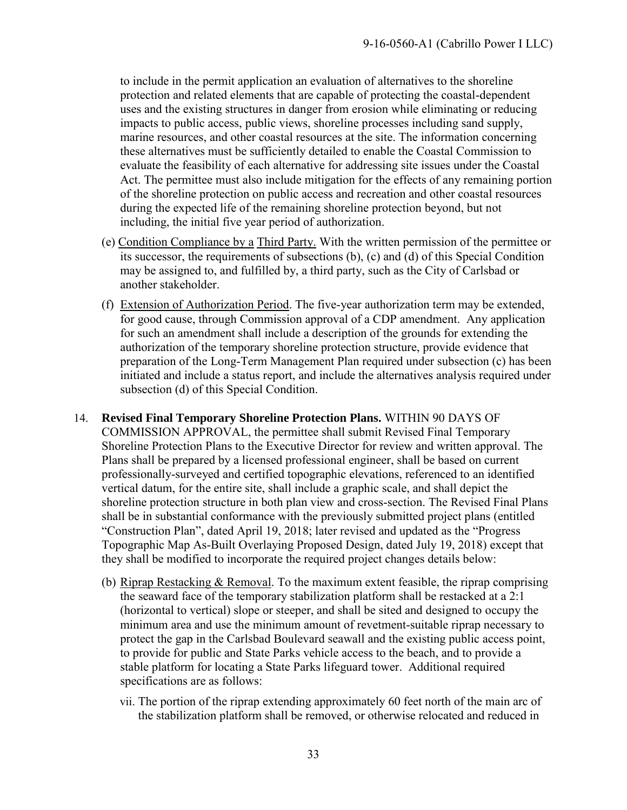to include in the permit application an evaluation of alternatives to the shoreline protection and related elements that are capable of protecting the coastal-dependent uses and the existing structures in danger from erosion while eliminating or reducing impacts to public access, public views, shoreline processes including sand supply, marine resources, and other coastal resources at the site. The information concerning these alternatives must be sufficiently detailed to enable the Coastal Commission to evaluate the feasibility of each alternative for addressing site issues under the Coastal Act. The permittee must also include mitigation for the effects of any remaining portion of the shoreline protection on public access and recreation and other coastal resources during the expected life of the remaining shoreline protection beyond, but not including, the initial five year period of authorization.

- (e) Condition Compliance by a Third Party. With the written permission of the permittee or its successor, the requirements of subsections (b), (c) and (d) of this Special Condition may be assigned to, and fulfilled by, a third party, such as the City of Carlsbad or another stakeholder.
- (f) Extension of Authorization Period. The five-year authorization term may be extended, for good cause, through Commission approval of a CDP amendment. Any application for such an amendment shall include a description of the grounds for extending the authorization of the temporary shoreline protection structure, provide evidence that preparation of the Long-Term Management Plan required under subsection (c) has been initiated and include a status report, and include the alternatives analysis required under subsection (d) of this Special Condition.
- 14. **Revised Final Temporary Shoreline Protection Plans.** WITHIN 90 DAYS OF COMMISSION APPROVAL, the permittee shall submit Revised Final Temporary Shoreline Protection Plans to the Executive Director for review and written approval. The Plans shall be prepared by a licensed professional engineer, shall be based on current professionally-surveyed and certified topographic elevations, referenced to an identified vertical datum, for the entire site, shall include a graphic scale, and shall depict the shoreline protection structure in both plan view and cross-section. The Revised Final Plans shall be in substantial conformance with the previously submitted project plans (entitled "Construction Plan", dated April 19, 2018; later revised and updated as the "Progress Topographic Map As-Built Overlaying Proposed Design, dated July 19, 2018) except that they shall be modified to incorporate the required project changes details below:
	- (b) Riprap Restacking & Removal. To the maximum extent feasible, the riprap comprising the seaward face of the temporary stabilization platform shall be restacked at a 2:1 (horizontal to vertical) slope or steeper, and shall be sited and designed to occupy the minimum area and use the minimum amount of revetment-suitable riprap necessary to protect the gap in the Carlsbad Boulevard seawall and the existing public access point, to provide for public and State Parks vehicle access to the beach, and to provide a stable platform for locating a State Parks lifeguard tower. Additional required specifications are as follows:
		- vii. The portion of the riprap extending approximately 60 feet north of the main arc of the stabilization platform shall be removed, or otherwise relocated and reduced in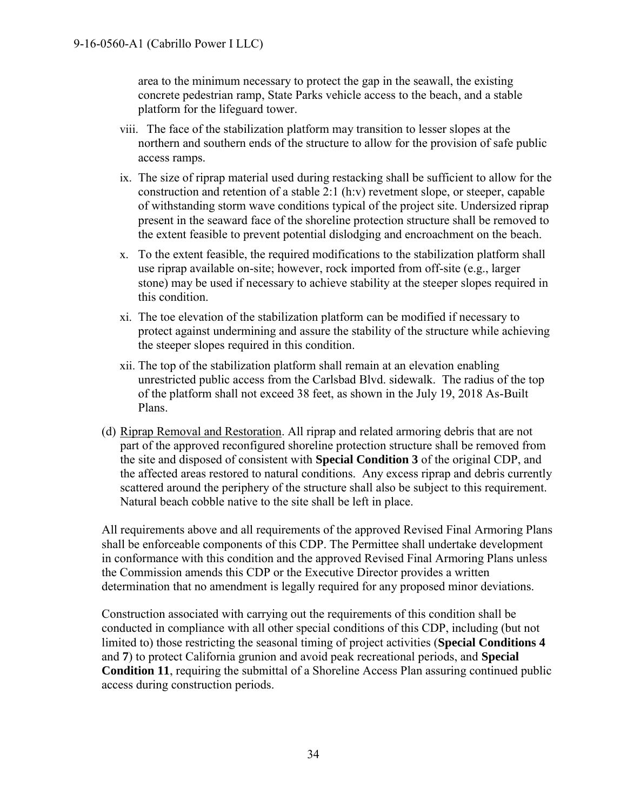area to the minimum necessary to protect the gap in the seawall, the existing concrete pedestrian ramp, State Parks vehicle access to the beach, and a stable platform for the lifeguard tower.

- viii. The face of the stabilization platform may transition to lesser slopes at the northern and southern ends of the structure to allow for the provision of safe public access ramps.
- ix. The size of riprap material used during restacking shall be sufficient to allow for the construction and retention of a stable 2:1 (h:v) revetment slope, or steeper, capable of withstanding storm wave conditions typical of the project site. Undersized riprap present in the seaward face of the shoreline protection structure shall be removed to the extent feasible to prevent potential dislodging and encroachment on the beach.
- x. To the extent feasible, the required modifications to the stabilization platform shall use riprap available on-site; however, rock imported from off-site (e.g., larger stone) may be used if necessary to achieve stability at the steeper slopes required in this condition.
- xi. The toe elevation of the stabilization platform can be modified if necessary to protect against undermining and assure the stability of the structure while achieving the steeper slopes required in this condition.
- xii. The top of the stabilization platform shall remain at an elevation enabling unrestricted public access from the Carlsbad Blvd. sidewalk. The radius of the top of the platform shall not exceed 38 feet, as shown in the July 19, 2018 As-Built Plans.
- (d) Riprap Removal and Restoration. All riprap and related armoring debris that are not part of the approved reconfigured shoreline protection structure shall be removed from the site and disposed of consistent with **Special Condition 3** of the original CDP, and the affected areas restored to natural conditions. Any excess riprap and debris currently scattered around the periphery of the structure shall also be subject to this requirement. Natural beach cobble native to the site shall be left in place.

All requirements above and all requirements of the approved Revised Final Armoring Plans shall be enforceable components of this CDP. The Permittee shall undertake development in conformance with this condition and the approved Revised Final Armoring Plans unless the Commission amends this CDP or the Executive Director provides a written determination that no amendment is legally required for any proposed minor deviations.

Construction associated with carrying out the requirements of this condition shall be conducted in compliance with all other special conditions of this CDP, including (but not limited to) those restricting the seasonal timing of project activities (**Special Conditions 4**  and **7**) to protect California grunion and avoid peak recreational periods, and **Special Condition 11**, requiring the submittal of a Shoreline Access Plan assuring continued public access during construction periods.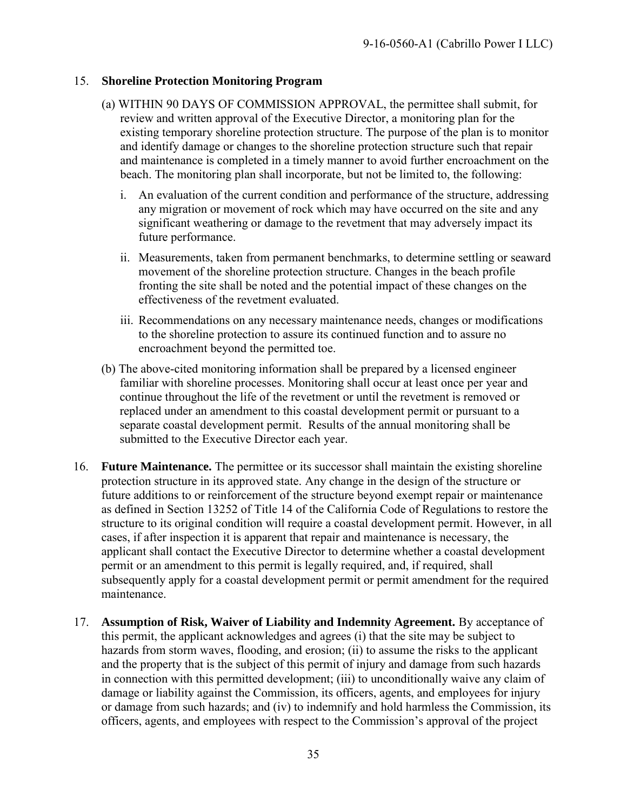#### 15. **Shoreline Protection Monitoring Program**

- (a) WITHIN 90 DAYS OF COMMISSION APPROVAL, the permittee shall submit, for review and written approval of the Executive Director, a monitoring plan for the existing temporary shoreline protection structure. The purpose of the plan is to monitor and identify damage or changes to the shoreline protection structure such that repair and maintenance is completed in a timely manner to avoid further encroachment on the beach. The monitoring plan shall incorporate, but not be limited to, the following:
	- i. An evaluation of the current condition and performance of the structure, addressing any migration or movement of rock which may have occurred on the site and any significant weathering or damage to the revetment that may adversely impact its future performance.
	- ii. Measurements, taken from permanent benchmarks, to determine settling or seaward movement of the shoreline protection structure. Changes in the beach profile fronting the site shall be noted and the potential impact of these changes on the effectiveness of the revetment evaluated.
	- iii. Recommendations on any necessary maintenance needs, changes or modifications to the shoreline protection to assure its continued function and to assure no encroachment beyond the permitted toe.
- (b) The above-cited monitoring information shall be prepared by a licensed engineer familiar with shoreline processes. Monitoring shall occur at least once per year and continue throughout the life of the revetment or until the revetment is removed or replaced under an amendment to this coastal development permit or pursuant to a separate coastal development permit. Results of the annual monitoring shall be submitted to the Executive Director each year.
- 16. **Future Maintenance.** The permittee or its successor shall maintain the existing shoreline protection structure in its approved state. Any change in the design of the structure or future additions to or reinforcement of the structure beyond exempt repair or maintenance as defined in Section 13252 of Title 14 of the California Code of Regulations to restore the structure to its original condition will require a coastal development permit. However, in all cases, if after inspection it is apparent that repair and maintenance is necessary, the applicant shall contact the Executive Director to determine whether a coastal development permit or an amendment to this permit is legally required, and, if required, shall subsequently apply for a coastal development permit or permit amendment for the required maintenance.
- 17. **Assumption of Risk, Waiver of Liability and Indemnity Agreement.** By acceptance of this permit, the applicant acknowledges and agrees (i) that the site may be subject to hazards from storm waves, flooding, and erosion; (ii) to assume the risks to the applicant and the property that is the subject of this permit of injury and damage from such hazards in connection with this permitted development; (iii) to unconditionally waive any claim of damage or liability against the Commission, its officers, agents, and employees for injury or damage from such hazards; and (iv) to indemnify and hold harmless the Commission, its officers, agents, and employees with respect to the Commission's approval of the project